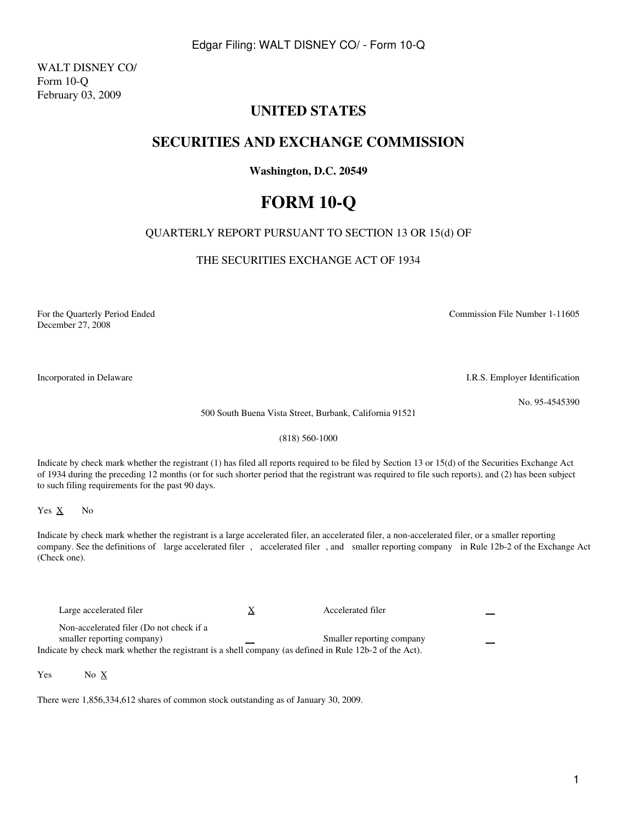WALT DISNEY CO/ Form 10-Q February 03, 2009

# **UNITED STATES**

# **SECURITIES AND EXCHANGE COMMISSION**

# **Washington, D.C. 20549**

# **FORM 10-Q**

# QUARTERLY REPORT PURSUANT TO SECTION 13 OR 15(d) OF

THE SECURITIES EXCHANGE ACT OF 1934

For the Quarterly Period Ended Commission File Number 1-11605 December 27, 2008

Incorporated in Delaware I.R.S. Employer Identification

No. 95-4545390

500 South Buena Vista Street, Burbank, California 91521

(818) 560-1000

Indicate by check mark whether the registrant (1) has filed all reports required to be filed by Section 13 or 15(d) of the Securities Exchange Act of 1934 during the preceding 12 months (or for such shorter period that the registrant was required to file such reports), and (2) has been subject to such filing requirements for the past 90 days.

Yes  $\underline{X}$  No

Indicate by check mark whether the registrant is a large accelerated filer, an accelerated filer, a non-accelerated filer, or a smaller reporting company. See the definitions of large accelerated filer, accelerated filer, and smaller reporting company in Rule 12b-2 of the Exchange Act (Check one).

Large accelerated filer  $\frac{X}{X}$  Accelerated filer Non-accelerated filer (Do not check if a smaller reporting company)  $\qquad \qquad \qquad$  Smaller reporting company Indicate by check mark whether the registrant is a shell company (as defined in Rule 12b-2 of the Act).

Yes No X

There were 1,856,334,612 shares of common stock outstanding as of January 30, 2009.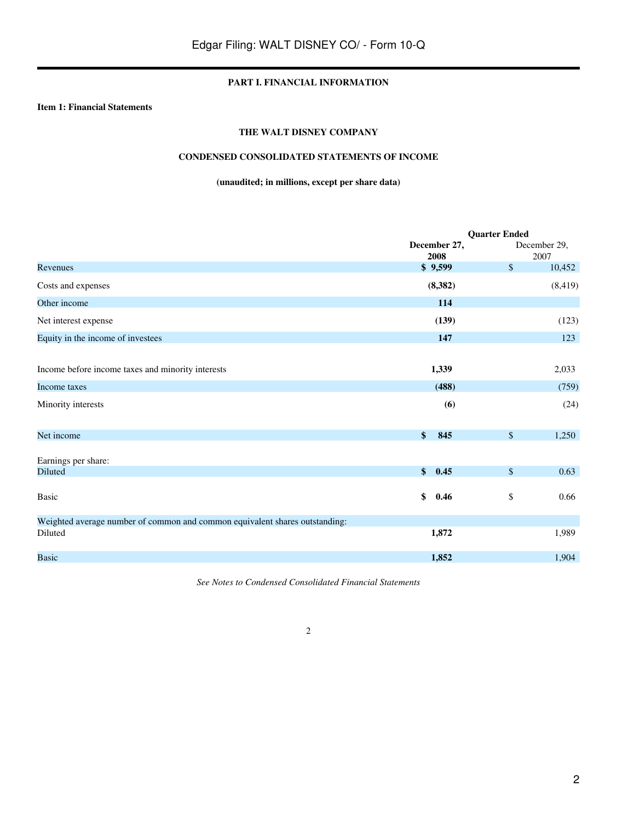## **PART I. FINANCIAL INFORMATION**

## **Item 1: Financial Statements**

## **THE WALT DISNEY COMPANY**

## **CONDENSED CONSOLIDATED STATEMENTS OF INCOME**

## **(unaudited; in millions, except per share data)**

|                                                                             | <b>Quarter Ended</b>  |        |                |
|-----------------------------------------------------------------------------|-----------------------|--------|----------------|
|                                                                             | December 27,          |        | December 29,   |
| Revenues                                                                    | 2008<br>\$9,599       | \$     | 2007<br>10,452 |
| Costs and expenses                                                          | (8, 382)              |        | (8, 419)       |
| Other income                                                                | 114                   |        |                |
| Net interest expense                                                        | (139)                 |        | (123)          |
| Equity in the income of investees                                           | 147                   |        | 123            |
|                                                                             |                       |        |                |
| Income before income taxes and minority interests                           | 1,339                 |        | 2,033          |
| Income taxes                                                                | (488)                 |        | (759)          |
| Minority interests                                                          | (6)                   |        | (24)           |
| Net income                                                                  | \$<br>845             | $\$\,$ | 1,250          |
| Earnings per share:                                                         |                       |        |                |
| <b>Diluted</b>                                                              | $\mathbf{\$}$<br>0.45 | \$     | 0.63           |
| Basic                                                                       | \$<br>0.46            | \$     | 0.66           |
| Weighted average number of common and common equivalent shares outstanding: |                       |        |                |
| Diluted                                                                     | 1,872                 |        | 1,989          |
| <b>Basic</b>                                                                | 1,852                 |        | 1,904          |

*See Notes to Condensed Consolidated Financial Statements*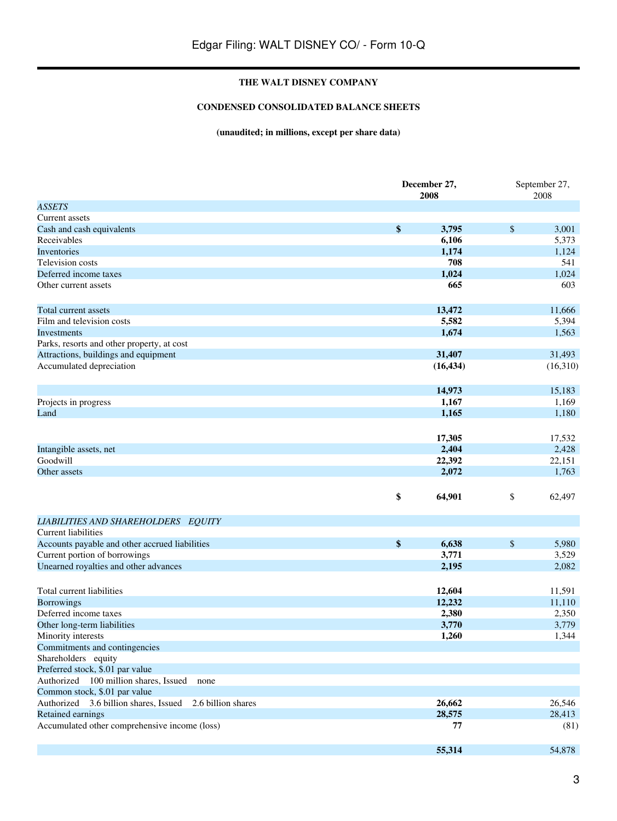## **CONDENSED CONSOLIDATED BALANCE SHEETS**

## **(unaudited; in millions, except per share data)**

|                                                          | December 27,<br>2008 |                 |      | September 27,<br>2008 |  |
|----------------------------------------------------------|----------------------|-----------------|------|-----------------------|--|
| <b>ASSETS</b>                                            |                      |                 |      |                       |  |
| Current assets                                           |                      |                 |      |                       |  |
| Cash and cash equivalents                                | \$                   | 3,795           | \$   | 3,001                 |  |
| Receivables                                              |                      | 6,106           |      | 5,373                 |  |
| Inventories                                              |                      | 1,174           |      | 1,124                 |  |
| Television costs                                         |                      | 708             |      | 541                   |  |
| Deferred income taxes                                    |                      | 1,024           |      | 1,024                 |  |
| Other current assets                                     |                      | 665             |      | 603                   |  |
|                                                          |                      |                 |      |                       |  |
| Total current assets                                     |                      | 13,472          |      | 11,666                |  |
| Film and television costs                                |                      | 5,582           |      | 5,394                 |  |
| Investments                                              |                      | 1,674           |      | 1,563                 |  |
| Parks, resorts and other property, at cost               |                      |                 |      |                       |  |
| Attractions, buildings and equipment                     |                      | 31,407          |      | 31,493                |  |
| Accumulated depreciation                                 |                      | (16, 434)       |      | (16,310)              |  |
|                                                          |                      |                 |      |                       |  |
|                                                          |                      |                 |      |                       |  |
|                                                          |                      | 14,973          |      | 15,183                |  |
| Projects in progress                                     |                      | 1,167           |      | 1,169                 |  |
| Land                                                     |                      | 1,165           |      | 1,180                 |  |
|                                                          |                      |                 |      |                       |  |
|                                                          |                      | 17,305          |      | 17,532                |  |
| Intangible assets, net                                   |                      | 2,404           |      | 2,428                 |  |
| Goodwill                                                 |                      | 22,392          |      | 22,151                |  |
| Other assets                                             |                      | 2,072           |      | 1,763                 |  |
|                                                          |                      |                 |      |                       |  |
|                                                          | \$                   | 64,901          | \$   | 62,497                |  |
|                                                          |                      |                 |      |                       |  |
| LIABILITIES AND SHAREHOLDERS EQUITY                      |                      |                 |      |                       |  |
| <b>Current</b> liabilities                               |                      |                 |      |                       |  |
| Accounts payable and other accrued liabilities           | \$                   | 6,638           | $\$$ | 5,980                 |  |
| Current portion of borrowings                            |                      | 3,771           |      | 3,529                 |  |
| Unearned royalties and other advances                    |                      | 2,195           |      | 2,082                 |  |
|                                                          |                      |                 |      |                       |  |
| Total current liabilities                                |                      | 12,604          |      | 11,591                |  |
|                                                          |                      |                 |      | 11,110                |  |
| <b>Borrowings</b><br>Deferred income taxes               |                      | 12,232<br>2,380 |      | 2,350                 |  |
| Other long-term liabilities                              |                      | 3,770           |      | 3,779                 |  |
| Minority interests                                       |                      | 1,260           |      | 1,344                 |  |
|                                                          |                      |                 |      |                       |  |
| Commitments and contingencies                            |                      |                 |      |                       |  |
| Shareholders equity<br>Preferred stock, \$.01 par value  |                      |                 |      |                       |  |
| Authorized 100 million shares, Issued                    |                      |                 |      |                       |  |
| none                                                     |                      |                 |      |                       |  |
| Common stock, \$.01 par value                            |                      |                 |      |                       |  |
| Authorized 3.6 billion shares, Issued 2.6 billion shares |                      | 26,662          |      | 26,546                |  |
| Retained earnings                                        |                      | 28,575          |      | 28,413                |  |
| Accumulated other comprehensive income (loss)            |                      | 77              |      | (81)                  |  |
|                                                          |                      |                 |      |                       |  |
|                                                          |                      | 55,314          |      | 54,878                |  |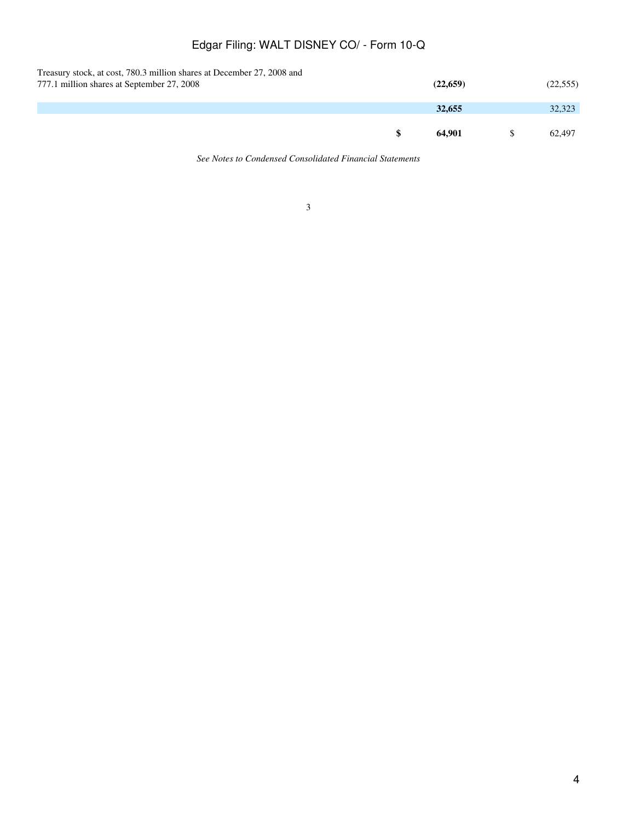| Treasury stock, at cost, 780.3 million shares at December 27, 2008 and<br>777.1 million shares at September 27, 2008 | (22, 659) | (22, 555) |
|----------------------------------------------------------------------------------------------------------------------|-----------|-----------|
|                                                                                                                      | 32,655    | 32,323    |
|                                                                                                                      | 64.901    | 62.497    |

*See Notes to Condensed Consolidated Financial Statements*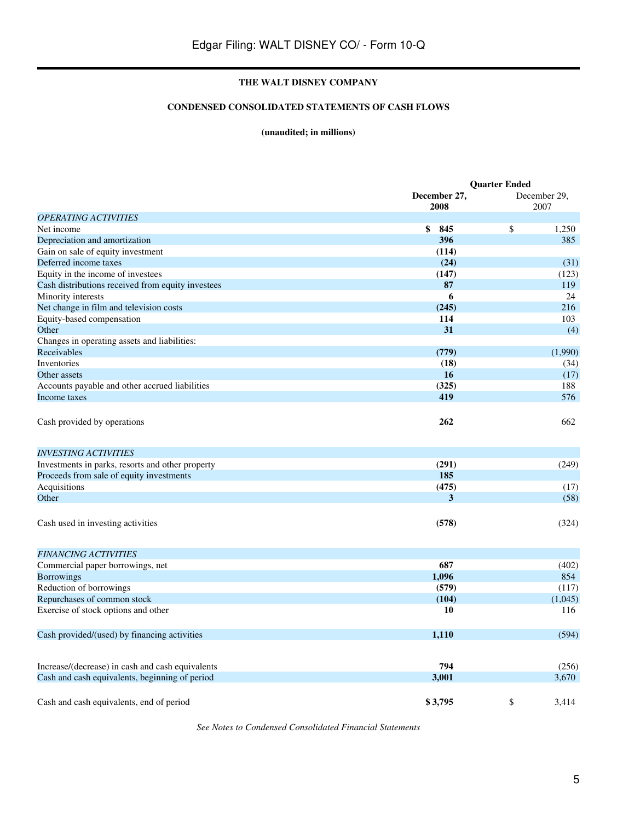## **CONDENSED CONSOLIDATED STATEMENTS OF CASH FLOWS**

## **(unaudited; in millions)**

|                                                   | <b>Ouarter Ended</b> |    |                      |
|---------------------------------------------------|----------------------|----|----------------------|
|                                                   | December 27,<br>2008 |    | December 29,<br>2007 |
| <b>OPERATING ACTIVITIES</b>                       |                      |    |                      |
| Net income                                        | \$<br>845            | \$ | 1,250                |
| Depreciation and amortization                     | 396                  |    | 385                  |
| Gain on sale of equity investment                 | (114)                |    |                      |
| Deferred income taxes                             | (24)                 |    | (31)                 |
| Equity in the income of investees                 | (147)                |    | (123)                |
| Cash distributions received from equity investees | 87                   |    | 119                  |
| Minority interests                                | 6                    |    | 24                   |
| Net change in film and television costs           | (245)                |    | 216                  |
| Equity-based compensation                         | 114                  |    | 103                  |
| Other                                             | 31                   |    | (4)                  |
| Changes in operating assets and liabilities:      |                      |    |                      |
| Receivables                                       | (779)                |    | (1,990)              |
| Inventories                                       | (18)                 |    | (34)                 |
| Other assets                                      | 16                   |    | (17)                 |
| Accounts payable and other accrued liabilities    | (325)                |    | 188                  |
| Income taxes                                      | 419                  |    | 576                  |
|                                                   |                      |    |                      |
| Cash provided by operations                       | 262                  |    | 662                  |
| <b>INVESTING ACTIVITIES</b>                       |                      |    |                      |
| Investments in parks, resorts and other property  | (291)                |    | (249)                |
| Proceeds from sale of equity investments          | 185                  |    |                      |
| Acquisitions                                      | (475)                |    | (17)                 |
| Other                                             | 3                    |    | (58)                 |
| Cash used in investing activities                 | (578)                |    | (324)                |
| <b>FINANCING ACTIVITIES</b>                       |                      |    |                      |
| Commercial paper borrowings, net                  | 687                  |    | (402)                |
| <b>Borrowings</b>                                 | 1,096                |    | 854                  |
| Reduction of borrowings                           | (579)                |    | (117)                |
| Repurchases of common stock                       | (104)                |    | (1,045)              |
| Exercise of stock options and other               | 10                   |    | 116                  |
| Cash provided/(used) by financing activities      | 1,110                |    | (594)                |
| Increase/(decrease) in cash and cash equivalents  | 794                  |    | (256)                |
| Cash and cash equivalents, beginning of period    | 3,001                |    | 3,670                |
| Cash and cash equivalents, end of period          | \$3,795              | \$ | 3.414                |

*See Notes to Condensed Consolidated Financial Statements*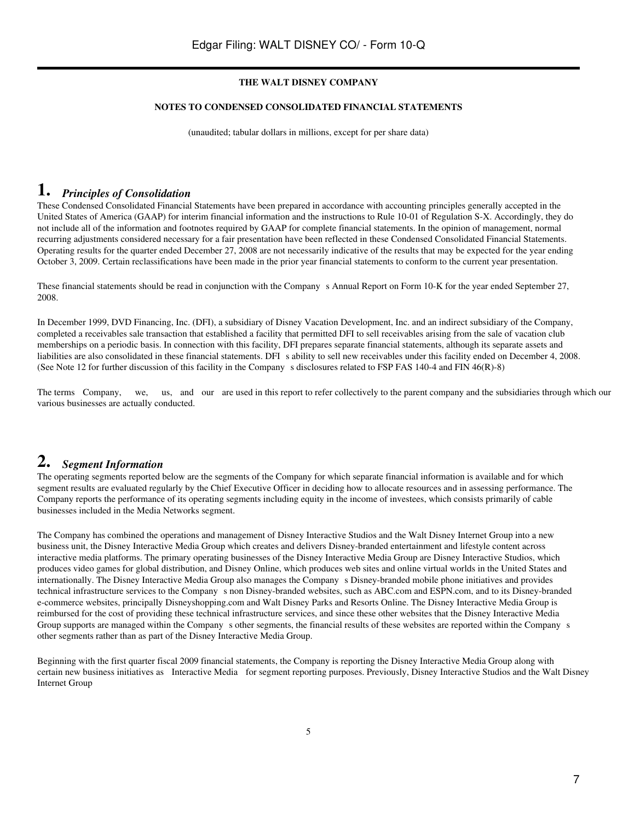#### **NOTES TO CONDENSED CONSOLIDATED FINANCIAL STATEMENTS**

(unaudited; tabular dollars in millions, except for per share data)

## **1.** *Principles of Consolidation*

These Condensed Consolidated Financial Statements have been prepared in accordance with accounting principles generally accepted in the United States of America (GAAP) for interim financial information and the instructions to Rule 10-01 of Regulation S-X. Accordingly, they do not include all of the information and footnotes required by GAAP for complete financial statements. In the opinion of management, normal recurring adjustments considered necessary for a fair presentation have been reflected in these Condensed Consolidated Financial Statements. Operating results for the quarter ended December 27, 2008 are not necessarily indicative of the results that may be expected for the year ending October 3, 2009. Certain reclassifications have been made in the prior year financial statements to conform to the current year presentation.

These financial statements should be read in conjunction with the Company s Annual Report on Form 10-K for the year ended September 27, 2008.

In December 1999, DVD Financing, Inc. (DFI), a subsidiary of Disney Vacation Development, Inc. and an indirect subsidiary of the Company, completed a receivables sale transaction that established a facility that permitted DFI to sell receivables arising from the sale of vacation club memberships on a periodic basis. In connection with this facility, DFI prepares separate financial statements, although its separate assets and liabilities are also consolidated in these financial statements. DFI s ability to sell new receivables under this facility ended on December 4, 2008. (See Note 12 for further discussion of this facility in the Companys disclosures related to FSP FAS 140-4 and FIN 46(R)-8)

The terms Company, we, us, and our are used in this report to refer collectively to the parent company and the subsidiaries through which our various businesses are actually conducted.

# **2.** *Segment Information*

The operating segments reported below are the segments of the Company for which separate financial information is available and for which segment results are evaluated regularly by the Chief Executive Officer in deciding how to allocate resources and in assessing performance. The Company reports the performance of its operating segments including equity in the income of investees, which consists primarily of cable businesses included in the Media Networks segment.

The Company has combined the operations and management of Disney Interactive Studios and the Walt Disney Internet Group into a new business unit, the Disney Interactive Media Group which creates and delivers Disney-branded entertainment and lifestyle content across interactive media platforms. The primary operating businesses of the Disney Interactive Media Group are Disney Interactive Studios, which produces video games for global distribution, and Disney Online, which produces web sites and online virtual worlds in the United States and internationally. The Disney Interactive Media Group also manages the Company s Disney-branded mobile phone initiatives and provides technical infrastructure services to the Company s non Disney-branded websites, such as ABC.com and ESPN.com, and to its Disney-branded e-commerce websites, principally Disneyshopping.com and Walt Disney Parks and Resorts Online. The Disney Interactive Media Group is reimbursed for the cost of providing these technical infrastructure services, and since these other websites that the Disney Interactive Media Group supports are managed within the Company s other segments, the financial results of these websites are reported within the Company s other segments rather than as part of the Disney Interactive Media Group.

Beginning with the first quarter fiscal 2009 financial statements, the Company is reporting the Disney Interactive Media Group along with certain new business initiatives as Interactive Media for segment reporting purposes. Previously, Disney Interactive Studios and the Walt Disney Internet Group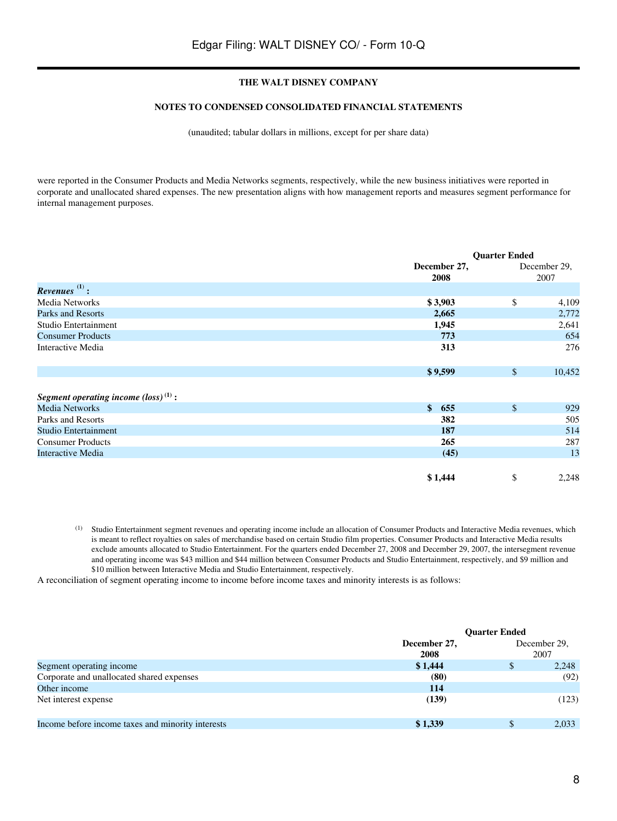#### **NOTES TO CONDENSED CONSOLIDATED FINANCIAL STATEMENTS**

(unaudited; tabular dollars in millions, except for per share data)

were reported in the Consumer Products and Media Networks segments, respectively, while the new business initiatives were reported in corporate and unallocated shared expenses. The new presentation aligns with how management reports and measures segment performance for internal management purposes.

|                                                  |                      | <b>Quarter Ended</b> |                      |  |
|--------------------------------------------------|----------------------|----------------------|----------------------|--|
|                                                  | December 27,<br>2008 |                      | December 29,<br>2007 |  |
| $Re$ venues $\overset{(1)}{.}$                   |                      |                      |                      |  |
| Media Networks                                   | \$3,903              | \$                   | 4,109                |  |
| Parks and Resorts                                | 2,665                |                      | 2,772                |  |
| Studio Entertainment                             | 1,945                |                      | 2,641                |  |
| <b>Consumer Products</b>                         | 773                  |                      | 654                  |  |
| Interactive Media                                | 313                  |                      | 276                  |  |
|                                                  | \$9,599              | $\mathcal{S}$        | 10,452               |  |
| Segment operating income $(\text{loss})^{(1)}$ : |                      |                      |                      |  |
| <b>Media Networks</b>                            | $\mathbf{s}$<br>655  | $\mathsf{\$}$        | 929                  |  |
| Parks and Resorts                                | 382                  |                      | 505                  |  |
| Studio Entertainment                             | 187                  |                      | 514                  |  |
| <b>Consumer Products</b>                         | 265                  |                      | 287                  |  |
| <b>Interactive Media</b>                         | (45)                 |                      | 13                   |  |
|                                                  | \$1,444              | \$                   | 2,248                |  |

(1) Studio Entertainment segment revenues and operating income include an allocation of Consumer Products and Interactive Media revenues, which is meant to reflect royalties on sales of merchandise based on certain Studio film properties. Consumer Products and Interactive Media results exclude amounts allocated to Studio Entertainment. For the quarters ended December 27, 2008 and December 29, 2007, the intersegment revenue and operating income was \$43 million and \$44 million between Consumer Products and Studio Entertainment, respectively, and \$9 million and \$10 million between Interactive Media and Studio Entertainment, respectively.

A reconciliation of segment operating income to income before income taxes and minority interests is as follows:

|                                                   |              | <b>Quarter Ended</b> |              |  |  |
|---------------------------------------------------|--------------|----------------------|--------------|--|--|
|                                                   | December 27, |                      | December 29, |  |  |
|                                                   | 2008         |                      | 2007         |  |  |
| Segment operating income                          | \$1,444      | \$                   | 2,248        |  |  |
| Corporate and unallocated shared expenses         | (80)         |                      | (92)         |  |  |
| Other income                                      | 114          |                      |              |  |  |
| Net interest expense                              | (139)        |                      | (123)        |  |  |
| Income before income taxes and minority interests | \$1,339      | \$                   | 2.033        |  |  |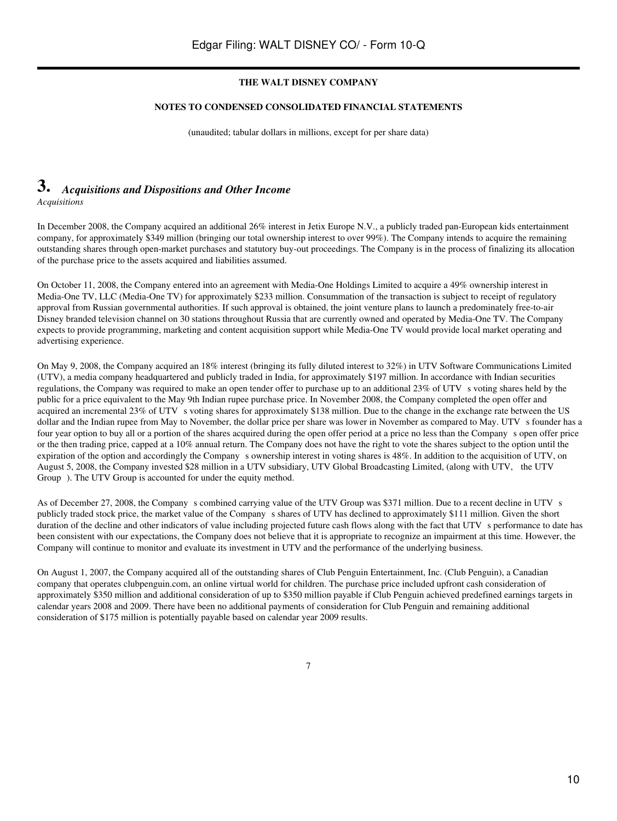#### **NOTES TO CONDENSED CONSOLIDATED FINANCIAL STATEMENTS**

(unaudited; tabular dollars in millions, except for per share data)

## **3.** *Acquisitions and Dispositions and Other Income Acquisitions*

In December 2008, the Company acquired an additional 26% interest in Jetix Europe N.V., a publicly traded pan-European kids entertainment company, for approximately \$349 million (bringing our total ownership interest to over 99%). The Company intends to acquire the remaining outstanding shares through open-market purchases and statutory buy-out proceedings. The Company is in the process of finalizing its allocation of the purchase price to the assets acquired and liabilities assumed.

On October 11, 2008, the Company entered into an agreement with Media-One Holdings Limited to acquire a 49% ownership interest in Media-One TV, LLC (Media-One TV) for approximately \$233 million. Consummation of the transaction is subject to receipt of regulatory approval from Russian governmental authorities. If such approval is obtained, the joint venture plans to launch a predominately free-to-air Disney branded television channel on 30 stations throughout Russia that are currently owned and operated by Media-One TV. The Company expects to provide programming, marketing and content acquisition support while Media-One TV would provide local market operating and advertising experience.

On May 9, 2008, the Company acquired an 18% interest (bringing its fully diluted interest to 32%) in UTV Software Communications Limited (UTV), a media company headquartered and publicly traded in India, for approximately \$197 million. In accordance with Indian securities regulations, the Company was required to make an open tender offer to purchase up to an additional 23% of UTV s voting shares held by the public for a price equivalent to the May 9th Indian rupee purchase price. In November 2008, the Company completed the open offer and acquired an incremental 23% of UTV s voting shares for approximately \$138 million. Due to the change in the exchange rate between the US dollar and the Indian rupee from May to November, the dollar price per share was lower in November as compared to May. UTV s founder has a four year option to buy all or a portion of the shares acquired during the open offer period at a price no less than the Company s open offer price or the then trading price, capped at a 10% annual return. The Company does not have the right to vote the shares subject to the option until the expiration of the option and accordingly the Company s ownership interest in voting shares is 48%. In addition to the acquisition of UTV, on August 5, 2008, the Company invested \$28 million in a UTV subsidiary, UTV Global Broadcasting Limited, (along with UTV, the UTV Group). The UTV Group is accounted for under the equity method.

As of December 27, 2008, the Company s combined carrying value of the UTV Group was \$371 million. Due to a recent decline in UTV s publicly traded stock price, the market value of the Companys shares of UTV has declined to approximately \$111 million. Given the short duration of the decline and other indicators of value including projected future cash flows along with the fact that UTV s performance to date has been consistent with our expectations, the Company does not believe that it is appropriate to recognize an impairment at this time. However, the Company will continue to monitor and evaluate its investment in UTV and the performance of the underlying business.

On August 1, 2007, the Company acquired all of the outstanding shares of Club Penguin Entertainment, Inc. (Club Penguin), a Canadian company that operates clubpenguin.com, an online virtual world for children. The purchase price included upfront cash consideration of approximately \$350 million and additional consideration of up to \$350 million payable if Club Penguin achieved predefined earnings targets in calendar years 2008 and 2009. There have been no additional payments of consideration for Club Penguin and remaining additional consideration of \$175 million is potentially payable based on calendar year 2009 results.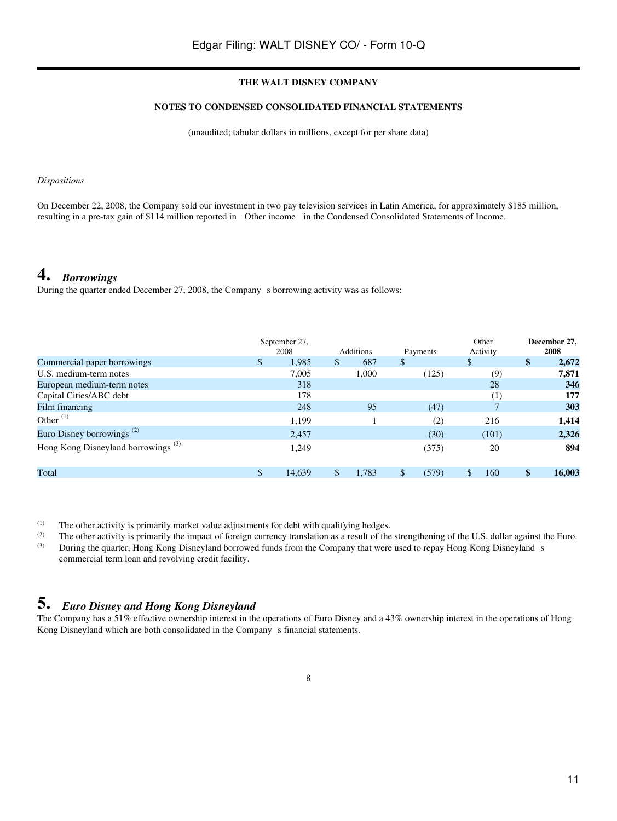## **NOTES TO CONDENSED CONSOLIDATED FINANCIAL STATEMENTS**

(unaudited; tabular dollars in millions, except for per share data)

#### *Dispositions*

On December 22, 2008, the Company sold our investment in two pay television services in Latin America, for approximately \$185 million, resulting in a pre-tax gain of \$114 million reported in Other income in the Condensed Consolidated Statements of Income.

# **4.** *Borrowings*

During the quarter ended December 27, 2008, the Company s borrowing activity was as follows:

|                                                |               | September 27, |                  |             | Other            | December 27. |
|------------------------------------------------|---------------|---------------|------------------|-------------|------------------|--------------|
|                                                |               | 2008          | <b>Additions</b> | Payments    | Activity         | 2008         |
| Commercial paper borrowings                    | $\mathbb{S}$  | 1,985         | \$<br>687        | \$          | \$               | \$<br>2,672  |
| U.S. medium-term notes                         |               | 7,005         | 1,000            | (125)       | (9)              | 7,871        |
| European medium-term notes                     |               | 318           |                  |             | 28               | 346          |
| Capital Cities/ABC debt                        |               | 178           |                  |             | $\left(1\right)$ | 177          |
| Film financing                                 |               | 248           | 95               | (47)        |                  | 303          |
| Other $(1)$                                    |               | 1,199         |                  | (2)         | 216              | 1,414        |
| Euro Disney borrowings <sup>(2)</sup>          |               | 2.457         |                  | (30)        | (101)            | 2,326        |
| Hong Kong Disneyland borrowings <sup>(3)</sup> |               | 1,249         |                  | (375)       | 20               | 894          |
| Total                                          | <sup>\$</sup> | 14,639        | \$<br>1,783      | \$<br>(579) | 160              | \$<br>16,003 |

(1) The other activity is primarily market value adjustments for debt with qualifying hedges.<br>
The other activity is primarily the impact of foreign currency translation as a result of the

(2) The other activity is primarily the impact of foreign currency translation as a result of the strengthening of the U.S. dollar against the Euro.<br>(3) During the quarter Hong Kong Dispeyland borrowed funds from the Comp During the quarter, Hong Kong Disneyland borrowed funds from the Company that were used to repay Hong Kong Disneyland s commercial term loan and revolving credit facility.

# **5.** *Euro Disney and Hong Kong Disneyland*

The Company has a 51% effective ownership interest in the operations of Euro Disney and a 43% ownership interest in the operations of Hong Kong Disneyland which are both consolidated in the Company s financial statements.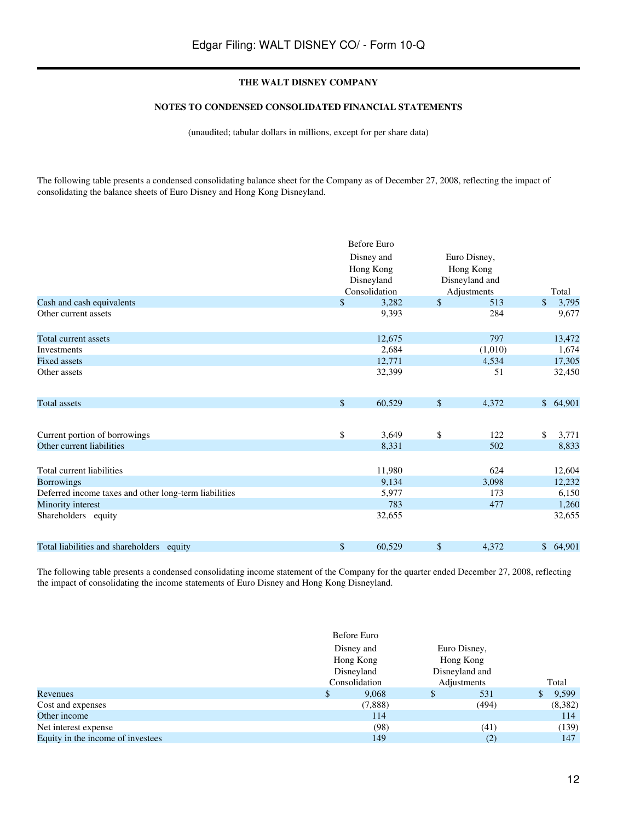#### **NOTES TO CONDENSED CONSOLIDATED FINANCIAL STATEMENTS**

(unaudited; tabular dollars in millions, except for per share data)

The following table presents a condensed consolidating balance sheet for the Company as of December 27, 2008, reflecting the impact of consolidating the balance sheets of Euro Disney and Hong Kong Disneyland.

|                                                       |             | <b>Before Euro</b> |      |                |             |
|-------------------------------------------------------|-------------|--------------------|------|----------------|-------------|
|                                                       |             | Disney and         |      | Euro Disney,   |             |
|                                                       |             | Hong Kong          |      | Hong Kong      |             |
|                                                       |             | Disneyland         |      | Disneyland and |             |
|                                                       |             | Consolidation      |      | Adjustments    | Total       |
| Cash and cash equivalents                             | \$          | 3,282              | $\$$ | 513            | \$<br>3,795 |
| Other current assets                                  |             | 9,393              |      | 284            | 9,677       |
| Total current assets                                  |             | 12,675             |      | 797            | 13,472      |
| Investments                                           |             | 2,684              |      | (1,010)        | 1,674       |
| <b>Fixed assets</b>                                   |             | 12,771             |      | 4,534          | 17,305      |
| Other assets                                          |             | 32,399             |      | 51             | 32,450      |
| <b>Total</b> assets                                   | $\sqrt{\ }$ | 60,529             | $\$$ | 4,372          | \$64,901    |
| Current portion of borrowings                         | \$          | 3,649              | \$   | 122            | \$<br>3,771 |
| Other current liabilities                             |             | 8,331              |      | 502            | 8,833       |
| Total current liabilities                             |             | 11,980             |      | 624            | 12,604      |
| <b>Borrowings</b>                                     |             | 9,134              |      | 3,098          | 12,232      |
| Deferred income taxes and other long-term liabilities |             | 5,977              |      | 173            | 6,150       |
| Minority interest                                     |             | 783                |      | 477            | 1,260       |
| Shareholders equity                                   |             | 32,655             |      |                | 32,655      |
| Total liabilities and shareholders equity             | \$          | 60,529             | \$   | 4,372          | \$64,901    |

The following table presents a condensed consolidating income statement of the Company for the quarter ended December 27, 2008, reflecting the impact of consolidating the income statements of Euro Disney and Hong Kong Disneyland.

|                                   |    | Before Euro                                            |    |                |       |         |  |  |
|-----------------------------------|----|--------------------------------------------------------|----|----------------|-------|---------|--|--|
|                                   |    | Disney and<br>Hong Kong<br>Disneyland<br>Consolidation |    | Euro Disney,   |       |         |  |  |
|                                   |    |                                                        |    | Hong Kong      |       |         |  |  |
|                                   |    |                                                        |    | Disneyland and |       |         |  |  |
|                                   |    |                                                        |    | Adjustments    | Total |         |  |  |
| Revenues                          | \$ | 9,068                                                  | \$ | 531            | S     | 9,599   |  |  |
| Cost and expenses                 |    | (7,888)                                                |    | (494)          |       | (8,382) |  |  |
| Other income                      |    | 114                                                    |    |                |       | 114     |  |  |
| Net interest expense              |    | (98)                                                   |    | (41)           |       | (139)   |  |  |
| Equity in the income of investees |    | 149                                                    |    | (2)            |       | 147     |  |  |
|                                   |    |                                                        |    |                |       |         |  |  |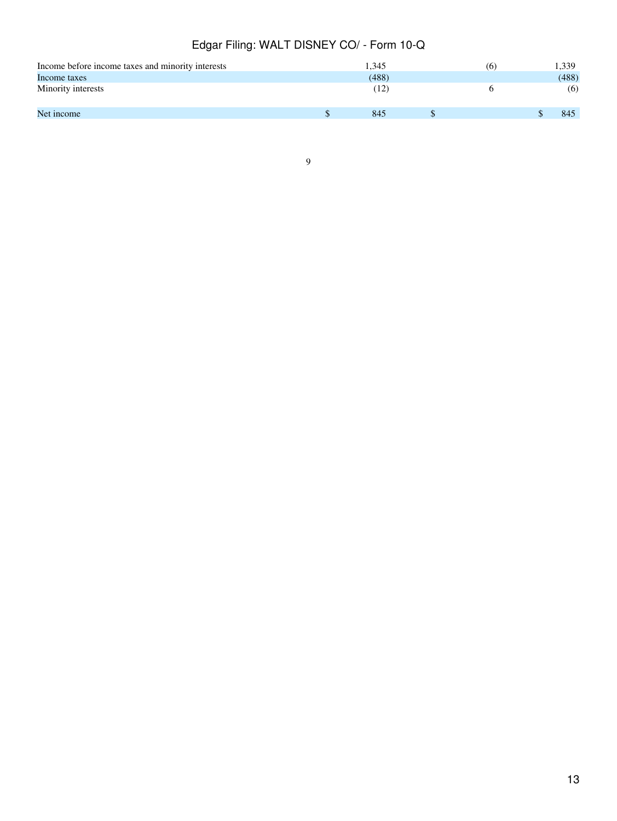| Income before income taxes and minority interests | 1.345 | (6) | 1,339 |
|---------------------------------------------------|-------|-----|-------|
| Income taxes                                      | (488) |     | (488) |
| Minority interests                                | 12)   |     | (6)   |
| Net income                                        | 845   |     | 845   |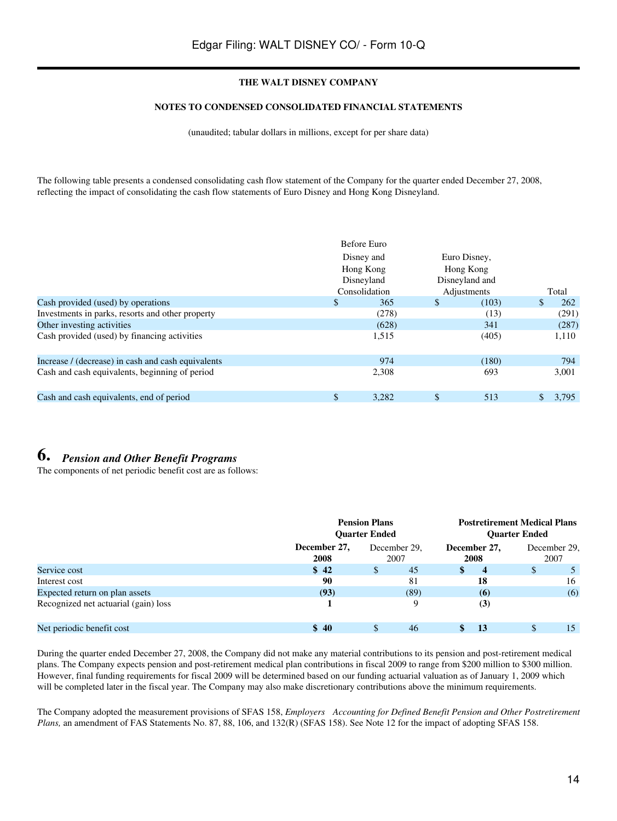#### **NOTES TO CONDENSED CONSOLIDATED FINANCIAL STATEMENTS**

(unaudited; tabular dollars in millions, except for per share data)

The following table presents a condensed consolidating cash flow statement of the Company for the quarter ended December 27, 2008, reflecting the impact of consolidating the cash flow statements of Euro Disney and Hong Kong Disneyland.

|                                                    | Before Euro   |                |             |
|----------------------------------------------------|---------------|----------------|-------------|
|                                                    | Disney and    | Euro Disney,   |             |
|                                                    | Hong Kong     | Hong Kong      |             |
|                                                    | Disneyland    | Disneyland and |             |
|                                                    | Consolidation | Adjustments    | Total       |
| Cash provided (used) by operations                 | \$<br>365     | \$<br>(103)    | \$<br>262   |
| Investments in parks, resorts and other property   | (278)         | (13)           | (291)       |
| Other investing activities                         | (628)         | 341            | (287)       |
| Cash provided (used) by financing activities       | 1,515         | (405)          | 1,110       |
| Increase / (decrease) in cash and cash equivalents | 974           | (180)          | 794         |
| Cash and cash equivalents, beginning of period     | 2,308         | 693            | 3,001       |
| Cash and cash equivalents, end of period           | \$<br>3.282   | \$<br>513      | \$<br>3.795 |

# **6.** *Pension and Other Benefit Programs*

The components of net periodic benefit cost are as follows:

|                                      |                      | <b>Pension Plans</b><br><b>Ouarter Ended</b> |                        | <b>Postretirement Medical Plans</b><br><b>Ouarter Ended</b> |  |  |
|--------------------------------------|----------------------|----------------------------------------------|------------------------|-------------------------------------------------------------|--|--|
|                                      | December 27,<br>2008 | December 29.<br>2007                         | December 27,<br>2008   | December 29.<br>2007                                        |  |  |
| Service cost                         | \$42                 | 45<br>\$                                     | \$<br>$\boldsymbol{4}$ | \$                                                          |  |  |
| Interest cost                        | 90                   | 81                                           | 18                     | 16                                                          |  |  |
| Expected return on plan assets       | (93)                 | (89)                                         | (6)                    | (6)                                                         |  |  |
| Recognized net actuarial (gain) loss |                      | 9                                            | (3)                    |                                                             |  |  |
| Net periodic benefit cost            | \$40                 | 46                                           | \$<br>13               | S<br>15                                                     |  |  |

During the quarter ended December 27, 2008, the Company did not make any material contributions to its pension and post-retirement medical plans. The Company expects pension and post-retirement medical plan contributions in fiscal 2009 to range from \$200 million to \$300 million. However, final funding requirements for fiscal 2009 will be determined based on our funding actuarial valuation as of January 1, 2009 which will be completed later in the fiscal year. The Company may also make discretionary contributions above the minimum requirements.

The Company adopted the measurement provisions of SFAS 158, *Employers Accounting for Defined Benefit Pension and Other Postretirement Plans,* an amendment of FAS Statements No. 87, 88, 106, and 132(R) (SFAS 158). See Note 12 for the impact of adopting SFAS 158.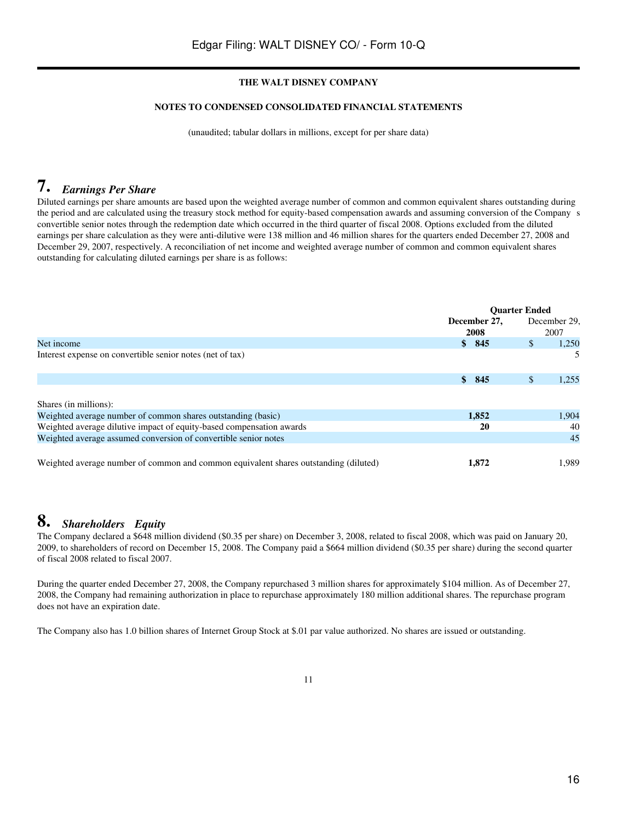## **NOTES TO CONDENSED CONSOLIDATED FINANCIAL STATEMENTS**

(unaudited; tabular dollars in millions, except for per share data)

# **7.** *Earnings Per Share*

Diluted earnings per share amounts are based upon the weighted average number of common and common equivalent shares outstanding during the period and are calculated using the treasury stock method for equity-based compensation awards and assuming conversion of the Companys convertible senior notes through the redemption date which occurred in the third quarter of fiscal 2008. Options excluded from the diluted earnings per share calculation as they were anti-dilutive were 138 million and 46 million shares for the quarters ended December 27, 2008 and December 29, 2007, respectively. A reconciliation of net income and weighted average number of common and common equivalent shares outstanding for calculating diluted earnings per share is as follows:

|                                                                                      | <b>Ouarter Ended</b> |                       |  |
|--------------------------------------------------------------------------------------|----------------------|-----------------------|--|
|                                                                                      | December 27,         | December 29.          |  |
|                                                                                      | 2008                 | 2007                  |  |
| Net income                                                                           | 845<br>S.            | $\mathbb{S}$<br>1,250 |  |
| Interest expense on convertible senior notes (net of tax)                            |                      | 5.                    |  |
|                                                                                      |                      |                       |  |
|                                                                                      | 845<br>S.            | \$.<br>1.255          |  |
| Shares (in millions):                                                                |                      |                       |  |
| Weighted average number of common shares outstanding (basic)                         | 1,852                | 1,904                 |  |
| Weighted average dilutive impact of equity-based compensation awards                 | 20                   | 40                    |  |
| Weighted average assumed conversion of convertible senior notes                      |                      | 45                    |  |
| Weighted average number of common and common equivalent shares outstanding (diluted) | 1,872                | 1,989                 |  |

# **8.** *Shareholders Equity*

The Company declared a \$648 million dividend (\$0.35 per share) on December 3, 2008, related to fiscal 2008, which was paid on January 20, 2009, to shareholders of record on December 15, 2008. The Company paid a \$664 million dividend (\$0.35 per share) during the second quarter of fiscal 2008 related to fiscal 2007.

During the quarter ended December 27, 2008, the Company repurchased 3 million shares for approximately \$104 million. As of December 27, 2008, the Company had remaining authorization in place to repurchase approximately 180 million additional shares. The repurchase program does not have an expiration date.

The Company also has 1.0 billion shares of Internet Group Stock at \$.01 par value authorized. No shares are issued or outstanding.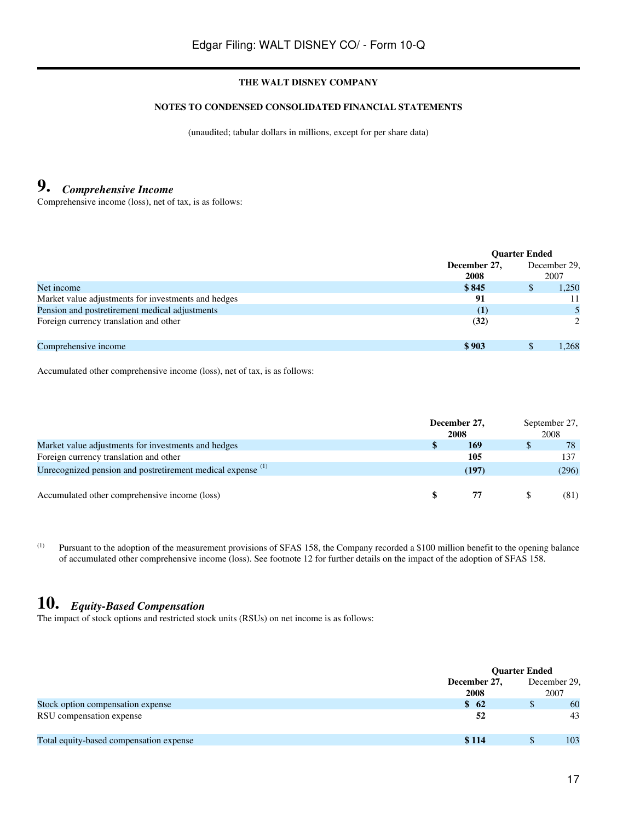#### **NOTES TO CONDENSED CONSOLIDATED FINANCIAL STATEMENTS**

(unaudited; tabular dollars in millions, except for per share data)

# **9.** *Comprehensive Income*

Comprehensive income (loss), net of tax, is as follows:

|                                                     | <b>Ouarter Ended</b> |     |               |
|-----------------------------------------------------|----------------------|-----|---------------|
|                                                     | December 27,         |     | December 29.  |
|                                                     | 2008                 |     | 2007          |
| Net income                                          | \$845                | \$. | 1.250         |
| Market value adjustments for investments and hedges | 91                   |     |               |
| Pension and postretirement medical adjustments      | $\left(1\right)$     |     |               |
| Foreign currency translation and other              | (32)                 |     | $\mathcal{L}$ |
| Comprehensive income                                | \$903                |     | 1.268         |

Accumulated other comprehensive income (loss), net of tax, is as follows:

|                                                                        | December 27, |       | September 27, |       |
|------------------------------------------------------------------------|--------------|-------|---------------|-------|
|                                                                        | 2008         |       |               | 2008  |
| Market value adjustments for investments and hedges                    |              | 169   |               | 78    |
| Foreign currency translation and other                                 |              | 105   |               | 137   |
| Unrecognized pension and postretirement medical expense <sup>(1)</sup> |              | (197) |               | (296) |
|                                                                        |              |       |               |       |
| Accumulated other comprehensive income (loss)                          |              |       |               | (81)  |

(1) Pursuant to the adoption of the measurement provisions of SFAS 158, the Company recorded a \$100 million benefit to the opening balance of accumulated other comprehensive income (loss). See footnote 12 for further details on the impact of the adoption of SFAS 158.

# **10.** *Equity-Based Compensation*

The impact of stock options and restricted stock units (RSUs) on net income is as follows:

|                                         |                  | <b>Quarter Ended</b> |              |  |
|-----------------------------------------|------------------|----------------------|--------------|--|
|                                         | December 27,     |                      | December 29, |  |
|                                         | 2008             |                      | 2007         |  |
| Stock option compensation expense       | $\frac{1}{2}$ 62 |                      | 60           |  |
| RSU compensation expense                | 52               |                      | 43           |  |
| Total equity-based compensation expense | \$114            |                      | 103          |  |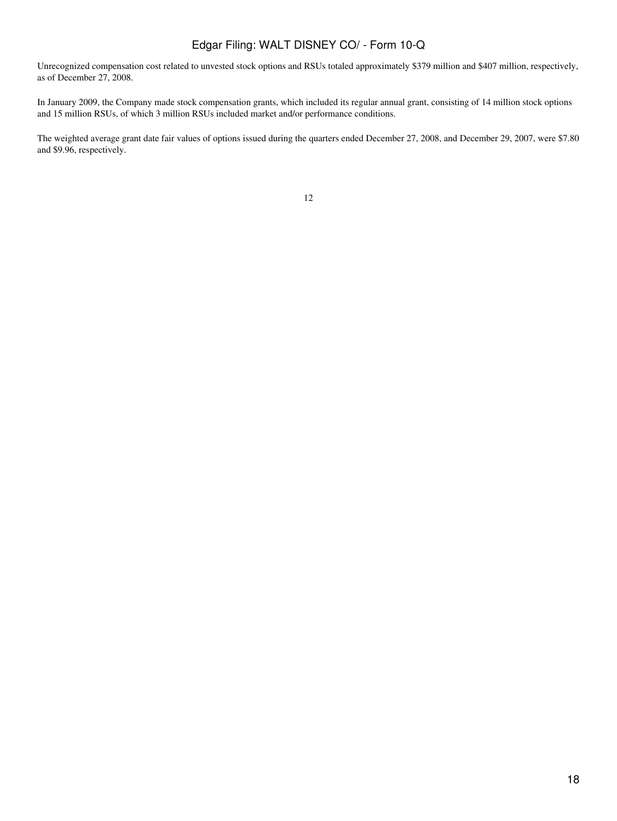Unrecognized compensation cost related to unvested stock options and RSUs totaled approximately \$379 million and \$407 million, respectively, as of December 27, 2008.

In January 2009, the Company made stock compensation grants, which included its regular annual grant, consisting of 14 million stock options and 15 million RSUs, of which 3 million RSUs included market and/or performance conditions.

The weighted average grant date fair values of options issued during the quarters ended December 27, 2008, and December 29, 2007, were \$7.80 and \$9.96, respectively.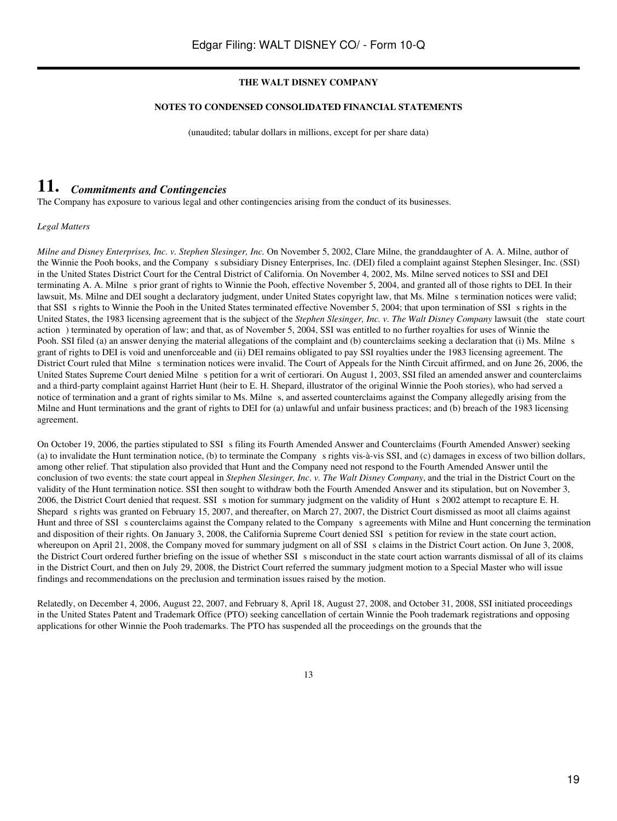#### **NOTES TO CONDENSED CONSOLIDATED FINANCIAL STATEMENTS**

(unaudited; tabular dollars in millions, except for per share data)

# **11.** *Commitments and Contingencies*

The Company has exposure to various legal and other contingencies arising from the conduct of its businesses.

*Legal Matters*

*Milne and Disney Enterprises, Inc. v. Stephen Slesinger, Inc.* On November 5, 2002, Clare Milne, the granddaughter of A. A. Milne, author of the Winnie the Pooh books, and the Company s subsidiary Disney Enterprises, Inc. (DEI) filed a complaint against Stephen Slesinger, Inc. (SSI) in the United States District Court for the Central District of California. On November 4, 2002, Ms. Milne served notices to SSI and DEI terminating A. A. Milne s prior grant of rights to Winnie the Pooh, effective November 5, 2004, and granted all of those rights to DEI. In their lawsuit, Ms. Milne and DEI sought a declaratory judgment, under United States copyright law, that Ms. Milne s termination notices were valid; that SSI s rights to Winnie the Pooh in the United States terminated effective November 5, 2004; that upon termination of SSI s rights in the United States, the 1983 licensing agreement that is the subject of the *Stephen Slesinger, Inc. v. The Walt Disney Company* lawsuit (the state court action) terminated by operation of law; and that, as of November 5, 2004, SSI was entitled to no further royalties for uses of Winnie the Pooh. SSI filed (a) an answer denying the material allegations of the complaint and (b) counterclaims seeking a declaration that (i) Ms. Milne s grant of rights to DEI is void and unenforceable and (ii) DEI remains obligated to pay SSI royalties under the 1983 licensing agreement. The District Court ruled that Milne s termination notices were invalid. The Court of Appeals for the Ninth Circuit affirmed, and on June 26, 2006, the United States Supreme Court denied Milne s petition for a writ of certiorari. On August 1, 2003, SSI filed an amended answer and counterclaims and a third-party complaint against Harriet Hunt (heir to E. H. Shepard, illustrator of the original Winnie the Pooh stories), who had served a notice of termination and a grant of rights similar to Ms. Milne s, and asserted counterclaims against the Company allegedly arising from the Milne and Hunt terminations and the grant of rights to DEI for (a) unlawful and unfair business practices; and (b) breach of the 1983 licensing agreement.

On October 19, 2006, the parties stipulated to SSI s filing its Fourth Amended Answer and Counterclaims (Fourth Amended Answer) seeking (a) to invalidate the Hunt termination notice, (b) to terminate the Companys rights vis-à-vis SSI, and (c) damages in excess of two billion dollars, among other relief. That stipulation also provided that Hunt and the Company need not respond to the Fourth Amended Answer until the conclusion of two events: the state court appeal in *Stephen Slesinger, Inc. v. The Walt Disney Company*, and the trial in the District Court on the validity of the Hunt termination notice. SSI then sought to withdraw both the Fourth Amended Answer and its stipulation, but on November 3, 2006, the District Court denied that request. SSI s motion for summary judgment on the validity of Hunt s 2002 attempt to recapture E. H. Shepard s rights was granted on February 15, 2007, and thereafter, on March 27, 2007, the District Court dismissed as moot all claims against Hunt and three of SSI s counterclaims against the Company related to the Company s agreements with Milne and Hunt concerning the termination and disposition of their rights. On January 3, 2008, the California Supreme Court denied SSI s petition for review in the state court action, whereupon on April 21, 2008, the Company moved for summary judgment on all of SSI s claims in the District Court action. On June 3, 2008, the District Court ordered further briefing on the issue of whether SSI s misconduct in the state court action warrants dismissal of all of its claims in the District Court, and then on July 29, 2008, the District Court referred the summary judgment motion to a Special Master who will issue findings and recommendations on the preclusion and termination issues raised by the motion.

Relatedly, on December 4, 2006, August 22, 2007, and February 8, April 18, August 27, 2008, and October 31, 2008, SSI initiated proceedings in the United States Patent and Trademark Office (PTO) seeking cancellation of certain Winnie the Pooh trademark registrations and opposing applications for other Winnie the Pooh trademarks. The PTO has suspended all the proceedings on the grounds that the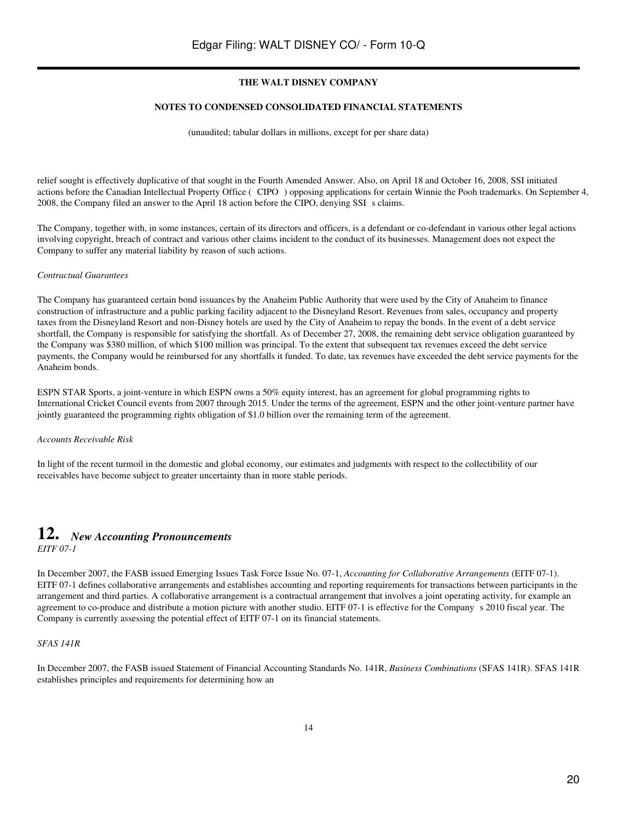#### **NOTES TO CONDENSED CONSOLIDATED FINANCIAL STATEMENTS**

(unaudited; tabular dollars in millions, except for per share data)

relief sought is effectively duplicative of that sought in the Fourth Amended Answer. Also, on April 18 and October 16, 2008, SSI initiated actions before the Canadian Intellectual Property Office (CIPO) opposing applications for certain Winnie the Pooh trademarks. On September 4, 2008, the Company filed an answer to the April 18 action before the CIPO, denying SSI s claims.

The Company, together with, in some instances, certain of its directors and officers, is a defendant or co-defendant in various other legal actions involving copyright, breach of contract and various other claims incident to the conduct of its businesses. Management does not expect the Company to suffer any material liability by reason of such actions.

#### *Contractual Guarantees*

The Company has guaranteed certain bond issuances by the Anaheim Public Authority that were used by the City of Anaheim to finance construction of infrastructure and a public parking facility adjacent to the Disneyland Resort. Revenues from sales, occupancy and property taxes from the Disneyland Resort and non-Disney hotels are used by the City of Anaheim to repay the bonds. In the event of a debt service shortfall, the Company is responsible for satisfying the shortfall. As of December 27, 2008, the remaining debt service obligation guaranteed by the Company was \$380 million, of which \$100 million was principal. To the extent that subsequent tax revenues exceed the debt service payments, the Company would be reimbursed for any shortfalls it funded. To date, tax revenues have exceeded the debt service payments for the Anaheim bonds.

ESPN STAR Sports, a joint-venture in which ESPN owns a 50% equity interest, has an agreement for global programming rights to International Cricket Council events from 2007 through 2015. Under the terms of the agreement, ESPN and the other joint-venture partner have jointly guaranteed the programming rights obligation of \$1.0 billion over the remaining term of the agreement.

## *Accounts Receivable Risk*

In light of the recent turmoil in the domestic and global economy, our estimates and judgments with respect to the collectibility of our receivables have become subject to greater uncertainty than in more stable periods.

## **12.** *New Accounting Pronouncements EITF 07-1*

In December 2007, the FASB issued Emerging Issues Task Force Issue No. 07-1, *Accounting for Collaborative Arrangements* (EITF 07-1). EITF 07-1 defines collaborative arrangements and establishes accounting and reporting requirements for transactions between participants in the arrangement and third parties. A collaborative arrangement is a contractual arrangement that involves a joint operating activity, for example an agreement to co-produce and distribute a motion picture with another studio. EITF 07-1 is effective for the Companys 2010 fiscal year. The Company is currently assessing the potential effect of EITF 07-1 on its financial statements.

## *SFAS 141R*

In December 2007, the FASB issued Statement of Financial Accounting Standards No. 141R, *Business Combinations* (SFAS 141R). SFAS 141R establishes principles and requirements for determining how an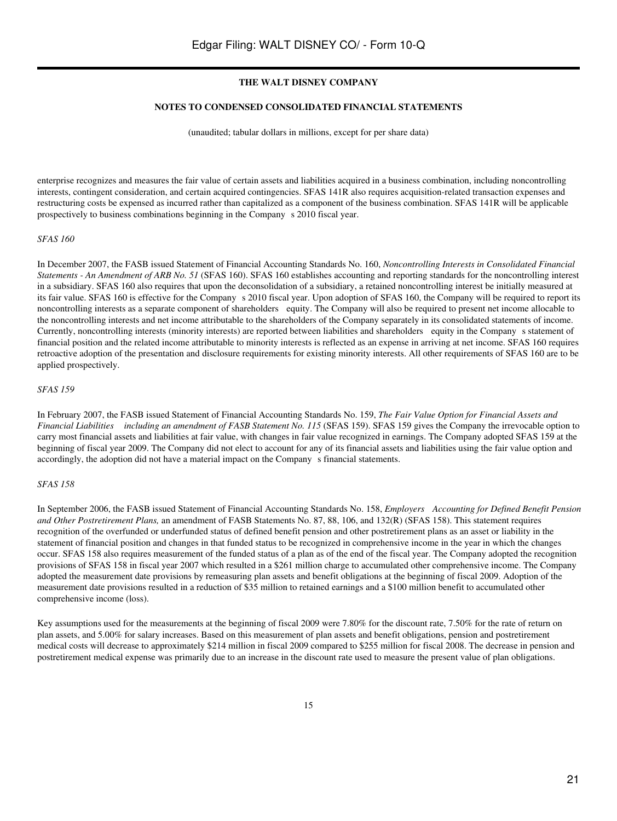#### **NOTES TO CONDENSED CONSOLIDATED FINANCIAL STATEMENTS**

(unaudited; tabular dollars in millions, except for per share data)

enterprise recognizes and measures the fair value of certain assets and liabilities acquired in a business combination, including noncontrolling interests, contingent consideration, and certain acquired contingencies. SFAS 141R also requires acquisition-related transaction expenses and restructuring costs be expensed as incurred rather than capitalized as a component of the business combination. SFAS 141R will be applicable prospectively to business combinations beginning in the Company s 2010 fiscal year.

#### *SFAS 160*

In December 2007, the FASB issued Statement of Financial Accounting Standards No. 160, *Noncontrolling Interests in Consolidated Financial Statements - An Amendment of ARB No. 51* (SFAS 160). SFAS 160 establishes accounting and reporting standards for the noncontrolling interest in a subsidiary. SFAS 160 also requires that upon the deconsolidation of a subsidiary, a retained noncontrolling interest be initially measured at its fair value. SFAS 160 is effective for the Company s 2010 fiscal year. Upon adoption of SFAS 160, the Company will be required to report its noncontrolling interests as a separate component of shareholders equity. The Company will also be required to present net income allocable to the noncontrolling interests and net income attributable to the shareholders of the Company separately in its consolidated statements of income. Currently, noncontrolling interests (minority interests) are reported between liabilities and shareholders equity in the Companys statement of financial position and the related income attributable to minority interests is reflected as an expense in arriving at net income. SFAS 160 requires retroactive adoption of the presentation and disclosure requirements for existing minority interests. All other requirements of SFAS 160 are to be applied prospectively.

#### *SFAS 159*

In February 2007, the FASB issued Statement of Financial Accounting Standards No. 159, *The Fair Value Option for Financial Assets and Financial Liabilities including an amendment of FASB Statement No. 115* (SFAS 159). SFAS 159 gives the Company the irrevocable option to carry most financial assets and liabilities at fair value, with changes in fair value recognized in earnings. The Company adopted SFAS 159 at the beginning of fiscal year 2009. The Company did not elect to account for any of its financial assets and liabilities using the fair value option and accordingly, the adoption did not have a material impact on the Company s financial statements.

#### *SFAS 158*

In September 2006, the FASB issued Statement of Financial Accounting Standards No. 158, *Employers Accounting for Defined Benefit Pension and Other Postretirement Plans,* an amendment of FASB Statements No. 87, 88, 106, and 132(R) (SFAS 158). This statement requires recognition of the overfunded or underfunded status of defined benefit pension and other postretirement plans as an asset or liability in the statement of financial position and changes in that funded status to be recognized in comprehensive income in the year in which the changes occur. SFAS 158 also requires measurement of the funded status of a plan as of the end of the fiscal year. The Company adopted the recognition provisions of SFAS 158 in fiscal year 2007 which resulted in a \$261 million charge to accumulated other comprehensive income. The Company adopted the measurement date provisions by remeasuring plan assets and benefit obligations at the beginning of fiscal 2009. Adoption of the measurement date provisions resulted in a reduction of \$35 million to retained earnings and a \$100 million benefit to accumulated other comprehensive income (loss).

Key assumptions used for the measurements at the beginning of fiscal 2009 were 7.80% for the discount rate, 7.50% for the rate of return on plan assets, and 5.00% for salary increases. Based on this measurement of plan assets and benefit obligations, pension and postretirement medical costs will decrease to approximately \$214 million in fiscal 2009 compared to \$255 million for fiscal 2008. The decrease in pension and postretirement medical expense was primarily due to an increase in the discount rate used to measure the present value of plan obligations.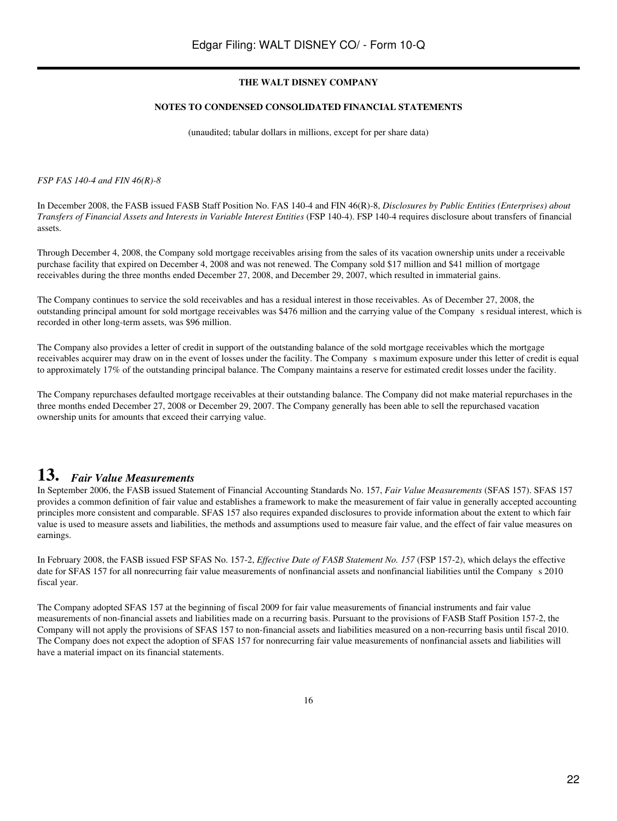#### **NOTES TO CONDENSED CONSOLIDATED FINANCIAL STATEMENTS**

(unaudited; tabular dollars in millions, except for per share data)

*FSP FAS 140-4 and FIN 46(R)-8*

In December 2008, the FASB issued FASB Staff Position No. FAS 140-4 and FIN 46(R)-8, *Disclosures by Public Entities (Enterprises) about Transfers of Financial Assets and Interests in Variable Interest Entities* (FSP 140-4). FSP 140-4 requires disclosure about transfers of financial assets.

Through December 4, 2008, the Company sold mortgage receivables arising from the sales of its vacation ownership units under a receivable purchase facility that expired on December 4, 2008 and was not renewed. The Company sold \$17 million and \$41 million of mortgage receivables during the three months ended December 27, 2008, and December 29, 2007, which resulted in immaterial gains.

The Company continues to service the sold receivables and has a residual interest in those receivables. As of December 27, 2008, the outstanding principal amount for sold mortgage receivables was \$476 million and the carrying value of the Companys residual interest, which is recorded in other long-term assets, was \$96 million.

The Company also provides a letter of credit in support of the outstanding balance of the sold mortgage receivables which the mortgage receivables acquirer may draw on in the event of losses under the facility. The Company s maximum exposure under this letter of credit is equal to approximately 17% of the outstanding principal balance. The Company maintains a reserve for estimated credit losses under the facility.

The Company repurchases defaulted mortgage receivables at their outstanding balance. The Company did not make material repurchases in the three months ended December 27, 2008 or December 29, 2007. The Company generally has been able to sell the repurchased vacation ownership units for amounts that exceed their carrying value.

# **13.** *Fair Value Measurements*

In September 2006, the FASB issued Statement of Financial Accounting Standards No. 157, *Fair Value Measurements* (SFAS 157). SFAS 157 provides a common definition of fair value and establishes a framework to make the measurement of fair value in generally accepted accounting principles more consistent and comparable. SFAS 157 also requires expanded disclosures to provide information about the extent to which fair value is used to measure assets and liabilities, the methods and assumptions used to measure fair value, and the effect of fair value measures on earnings.

In February 2008, the FASB issued FSP SFAS No. 157-2, *Effective Date of FASB Statement No. 157* (FSP 157-2), which delays the effective date for SFAS 157 for all nonrecurring fair value measurements of nonfinancial assets and nonfinancial liabilities until the Company s 2010 fiscal year.

The Company adopted SFAS 157 at the beginning of fiscal 2009 for fair value measurements of financial instruments and fair value measurements of non-financial assets and liabilities made on a recurring basis. Pursuant to the provisions of FASB Staff Position 157-2, the Company will not apply the provisions of SFAS 157 to non-financial assets and liabilities measured on a non-recurring basis until fiscal 2010. The Company does not expect the adoption of SFAS 157 for nonrecurring fair value measurements of nonfinancial assets and liabilities will have a material impact on its financial statements.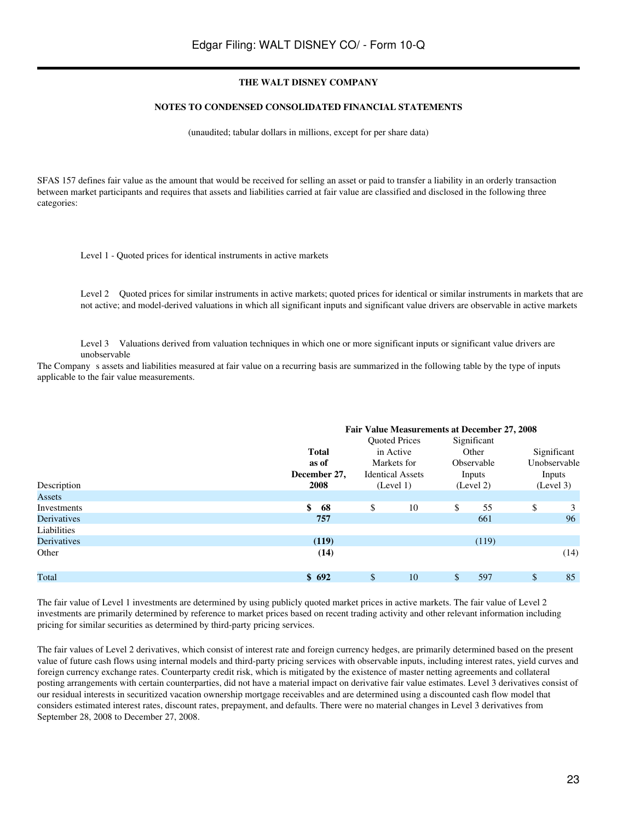#### **NOTES TO CONDENSED CONSOLIDATED FINANCIAL STATEMENTS**

(unaudited; tabular dollars in millions, except for per share data)

SFAS 157 defines fair value as the amount that would be received for selling an asset or paid to transfer a liability in an orderly transaction between market participants and requires that assets and liabilities carried at fair value are classified and disclosed in the following three categories:

Level 1 - Quoted prices for identical instruments in active markets

Level 2 Quoted prices for similar instruments in active markets; quoted prices for identical or similar instruments in markets that are not active; and model-derived valuations in which all significant inputs and significant value drivers are observable in active markets

Level 3 Valuations derived from valuation techniques in which one or more significant inputs or significant value drivers are unobservable

The Company s assets and liabilities measured at fair value on a recurring basis are summarized in the following table by the type of inputs applicable to the fair value measurements.

|                    |              | Fair Value Measurements at December 27, 2008 |             |              |  |  |  |  |
|--------------------|--------------|----------------------------------------------|-------------|--------------|--|--|--|--|
|                    |              | <b>Ouoted Prices</b>                         | Significant |              |  |  |  |  |
|                    | <b>Total</b> | in Active                                    | Other       | Significant  |  |  |  |  |
|                    | as of        | Markets for                                  | Observable  | Unobservable |  |  |  |  |
|                    | December 27, | <b>Identical Assets</b>                      | Inputs      | Inputs       |  |  |  |  |
| Description        | 2008         | (Level 1)                                    | (Level 2)   | (Level 3)    |  |  |  |  |
| Assets             |              |                                              |             |              |  |  |  |  |
| Investments        | \$<br>68     | \$<br>10                                     | \$<br>55    | \$<br>3      |  |  |  |  |
| <b>Derivatives</b> | 757          |                                              | 661         | 96           |  |  |  |  |
| Liabilities        |              |                                              |             |              |  |  |  |  |
| Derivatives        | (119)        |                                              | (119)       |              |  |  |  |  |
| Other              | (14)         |                                              |             | (14)         |  |  |  |  |
|                    |              |                                              |             |              |  |  |  |  |
| Total              | \$692        | \$<br>10                                     | 597<br>\$   | \$<br>85     |  |  |  |  |

The fair value of Level 1 investments are determined by using publicly quoted market prices in active markets. The fair value of Level 2 investments are primarily determined by reference to market prices based on recent trading activity and other relevant information including pricing for similar securities as determined by third-party pricing services.

The fair values of Level 2 derivatives, which consist of interest rate and foreign currency hedges, are primarily determined based on the present value of future cash flows using internal models and third-party pricing services with observable inputs, including interest rates, yield curves and foreign currency exchange rates. Counterparty credit risk, which is mitigated by the existence of master netting agreements and collateral posting arrangements with certain counterparties, did not have a material impact on derivative fair value estimates. Level 3 derivatives consist of our residual interests in securitized vacation ownership mortgage receivables and are determined using a discounted cash flow model that considers estimated interest rates, discount rates, prepayment, and defaults. There were no material changes in Level 3 derivatives from September 28, 2008 to December 27, 2008.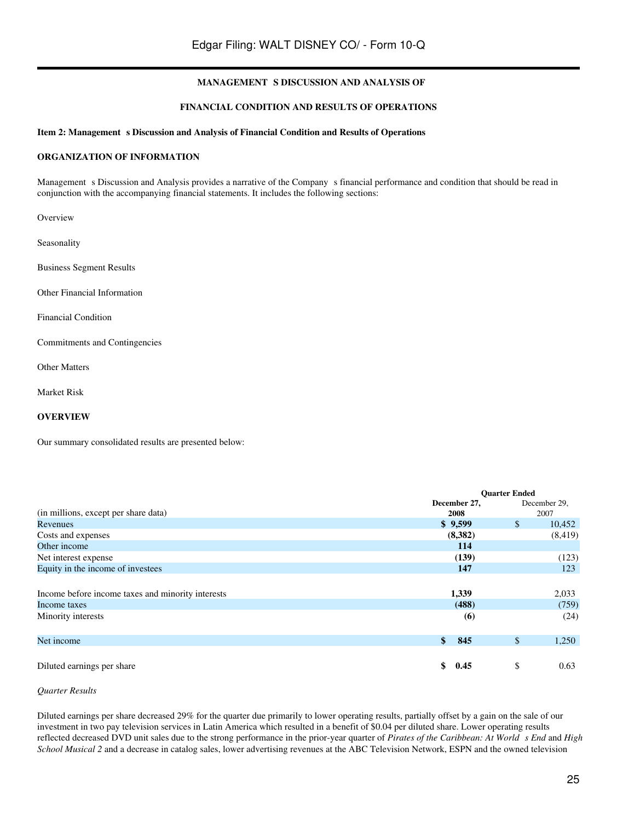## **FINANCIAL CONDITION AND RESULTS OF OPERATIONS**

#### Item 2: Management s Discussion and Analysis of Financial Condition and Results of Operations

## **ORGANIZATION OF INFORMATION**

Management s Discussion and Analysis provides a narrative of the Company s financial performance and condition that should be read in conjunction with the accompanying financial statements. It includes the following sections:

Overview

Seasonality

Business Segment Results

Other Financial Information

Financial Condition

Commitments and Contingencies

Other Matters

Market Risk

## **OVERVIEW**

Our summary consolidated results are presented below:

|                                                   | <b>Ouarter Ended</b> |               |              |
|---------------------------------------------------|----------------------|---------------|--------------|
|                                                   | December 27,         |               | December 29, |
| (in millions, except per share data)              | 2008                 |               | 2007         |
| Revenues                                          | \$9,599              | $\mathbb{S}$  | 10,452       |
| Costs and expenses                                | (8,382)              |               | (8, 419)     |
| Other income                                      | 114                  |               |              |
| Net interest expense                              | (139)                |               | (123)        |
| Equity in the income of investees                 | 147                  |               | 123          |
|                                                   |                      |               |              |
| Income before income taxes and minority interests | 1,339                |               | 2,033        |
| Income taxes                                      | (488)                |               | (759)        |
| Minority interests                                | (6)                  |               | (24)         |
|                                                   |                      |               |              |
| Net income                                        | $\mathbf{\$}$<br>845 | $\mathsf{\$}$ | 1,250        |
|                                                   |                      |               |              |
| Diluted earnings per share                        | \$<br>0.45           | \$            | 0.63         |

## *Quarter Results*

Diluted earnings per share decreased 29% for the quarter due primarily to lower operating results, partially offset by a gain on the sale of our investment in two pay television services in Latin America which resulted in a benefit of \$0.04 per diluted share. Lower operating results reflected decreased DVD unit sales due to the strong performance in the prior-year quarter of *Pirates of the Caribbean: At Worlds End* and *High School Musical 2* and a decrease in catalog sales, lower advertising revenues at the ABC Television Network, ESPN and the owned television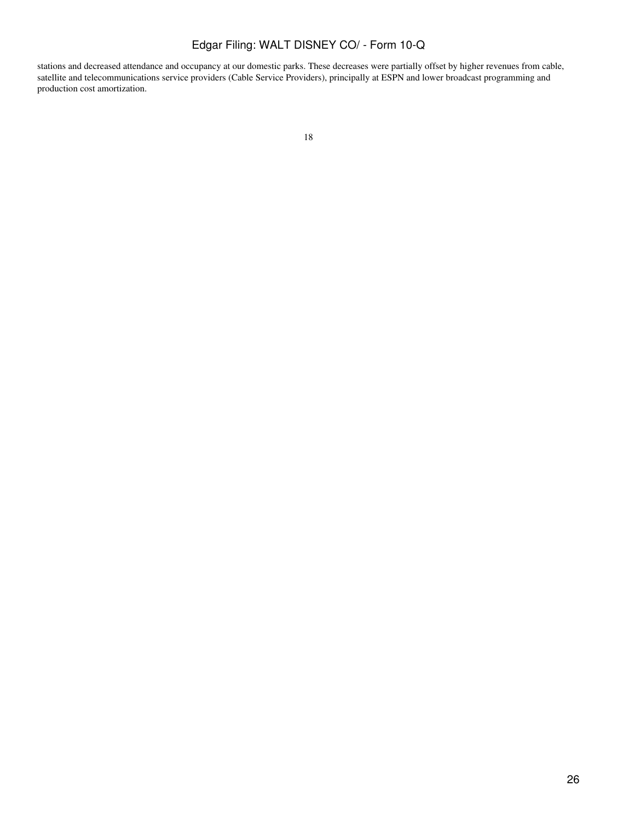stations and decreased attendance and occupancy at our domestic parks. These decreases were partially offset by higher revenues from cable, satellite and telecommunications service providers (Cable Service Providers), principally at ESPN and lower broadcast programming and production cost amortization.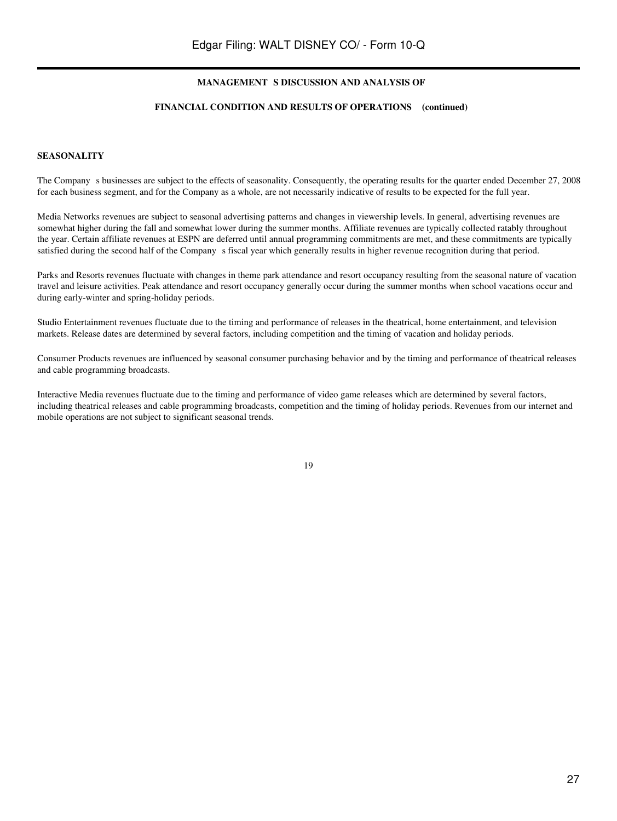#### **FINANCIAL CONDITION AND RESULTS OF OPERATIONS (continued)**

#### **SEASONALITY**

The Company s businesses are subject to the effects of seasonality. Consequently, the operating results for the quarter ended December 27, 2008 for each business segment, and for the Company as a whole, are not necessarily indicative of results to be expected for the full year.

Media Networks revenues are subject to seasonal advertising patterns and changes in viewership levels. In general, advertising revenues are somewhat higher during the fall and somewhat lower during the summer months. Affiliate revenues are typically collected ratably throughout the year. Certain affiliate revenues at ESPN are deferred until annual programming commitments are met, and these commitments are typically satisfied during the second half of the Company s fiscal year which generally results in higher revenue recognition during that period.

Parks and Resorts revenues fluctuate with changes in theme park attendance and resort occupancy resulting from the seasonal nature of vacation travel and leisure activities. Peak attendance and resort occupancy generally occur during the summer months when school vacations occur and during early-winter and spring-holiday periods.

Studio Entertainment revenues fluctuate due to the timing and performance of releases in the theatrical, home entertainment, and television markets. Release dates are determined by several factors, including competition and the timing of vacation and holiday periods.

Consumer Products revenues are influenced by seasonal consumer purchasing behavior and by the timing and performance of theatrical releases and cable programming broadcasts.

Interactive Media revenues fluctuate due to the timing and performance of video game releases which are determined by several factors, including theatrical releases and cable programming broadcasts, competition and the timing of holiday periods. Revenues from our internet and mobile operations are not subject to significant seasonal trends.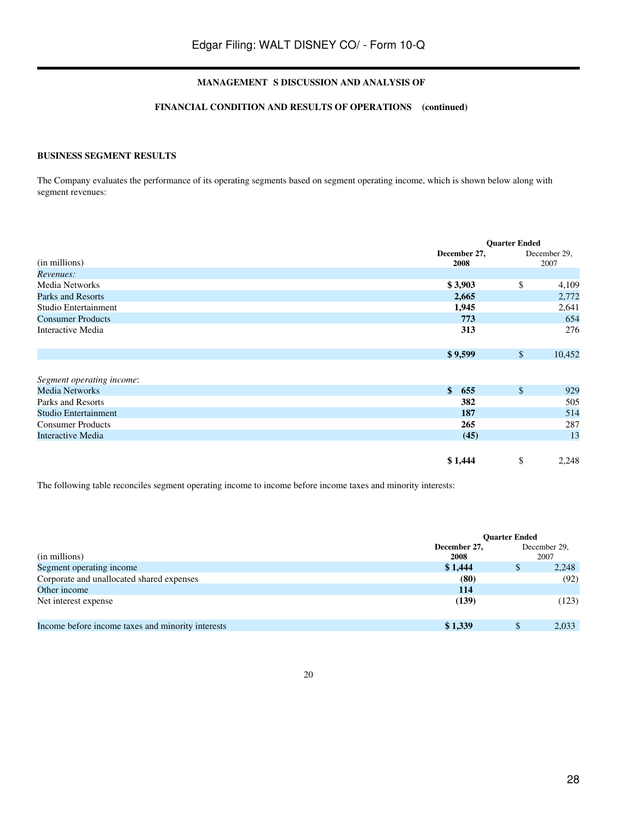#### **FINANCIAL CONDITION AND RESULTS OF OPERATIONS (continued)**

## **BUSINESS SEGMENT RESULTS**

The Company evaluates the performance of its operating segments based on segment operating income, which is shown below along with segment revenues:

|                           |                      | <b>Ouarter Ended</b> |              |  |  |
|---------------------------|----------------------|----------------------|--------------|--|--|
|                           | December 27,         |                      | December 29, |  |  |
| (in millions)             | 2008                 |                      | 2007         |  |  |
| Revenues:                 |                      |                      |              |  |  |
| Media Networks            | \$3,903              | \$                   | 4,109        |  |  |
| Parks and Resorts         | 2,665                |                      | 2,772        |  |  |
| Studio Entertainment      | 1,945                |                      | 2,641        |  |  |
| <b>Consumer Products</b>  | 773                  |                      | 654          |  |  |
| Interactive Media         | 313                  |                      | 276          |  |  |
|                           |                      |                      |              |  |  |
|                           | \$9,599              | $\mathbb{S}$         | 10,452       |  |  |
|                           |                      |                      |              |  |  |
| Segment operating income: |                      |                      |              |  |  |
| <b>Media Networks</b>     | $\mathbf{\$}$<br>655 | \$                   | 929          |  |  |
| Parks and Resorts         | 382                  |                      | 505          |  |  |
| Studio Entertainment      | 187                  |                      | 514          |  |  |
| <b>Consumer Products</b>  | 265                  |                      | 287          |  |  |
| Interactive Media         | (45)                 |                      | 13           |  |  |
|                           |                      |                      |              |  |  |
|                           | \$1,444              | \$                   | 2,248        |  |  |

The following table reconciles segment operating income to income before income taxes and minority interests:

|                                                   | <b>Ouarter Ended</b> |    |                      |  |
|---------------------------------------------------|----------------------|----|----------------------|--|
| (in millions)                                     | December 27,<br>2008 |    | December 29,<br>2007 |  |
| Segment operating income                          | \$1,444              | \$ | 2,248                |  |
| Corporate and unallocated shared expenses         | (80)                 |    | (92)                 |  |
| Other income                                      | 114                  |    |                      |  |
| Net interest expense                              | (139)                |    | (123)                |  |
| Income before income taxes and minority interests | \$1,339              | \$ | 2,033                |  |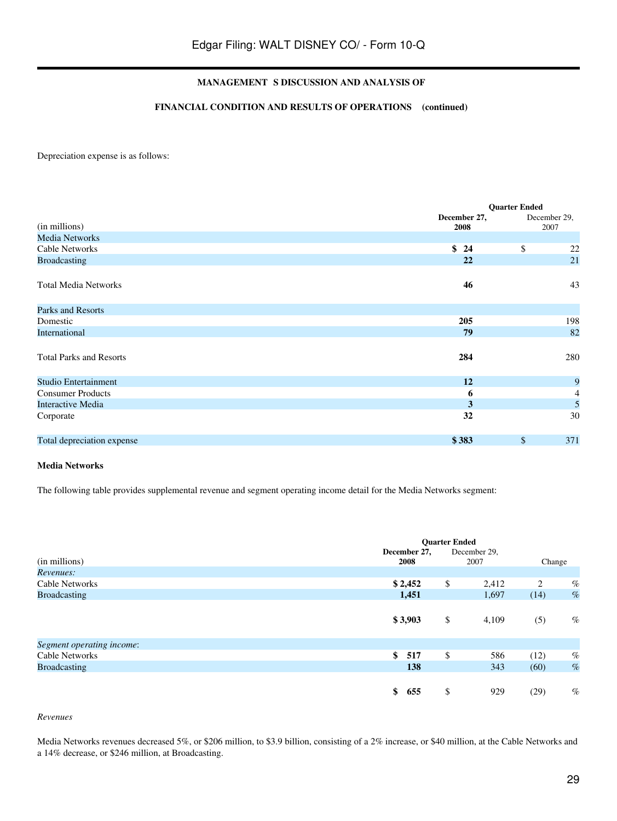#### **FINANCIAL CONDITION AND RESULTS OF OPERATIONS (continued)**

Depreciation expense is as follows:

|                                | <b>Quarter Ended</b> |             |                      |  |
|--------------------------------|----------------------|-------------|----------------------|--|
| (in millions)                  | December 27,<br>2008 |             | December 29,<br>2007 |  |
| <b>Media Networks</b>          |                      |             |                      |  |
| <b>Cable Networks</b>          | \$<br>24             | \$          | $22\,$               |  |
| <b>Broadcasting</b>            | 22                   |             | 21                   |  |
| <b>Total Media Networks</b>    | 46                   |             | 43                   |  |
| Parks and Resorts              |                      |             |                      |  |
| Domestic                       | 205                  |             | 198                  |  |
| International                  | 79                   |             | 82                   |  |
| <b>Total Parks and Resorts</b> | 284                  |             | 280                  |  |
| Studio Entertainment           | 12                   |             | 9                    |  |
| <b>Consumer Products</b>       | 6                    |             | 4                    |  |
| <b>Interactive Media</b>       | 3                    |             | 5                    |  |
| Corporate                      | 32                   |             | 30                   |  |
| Total depreciation expense     | \$383                | $\sqrt{\ }$ | 371                  |  |

#### **Media Networks**

The following table provides supplemental revenue and segment operating income detail for the Media Networks segment:

|                           |              | <b>Quarter Ended</b> |              |        |      |
|---------------------------|--------------|----------------------|--------------|--------|------|
|                           | December 27, |                      | December 29, |        |      |
| (in millions)             | 2008         |                      | 2007         | Change |      |
| Revenues:                 |              |                      |              |        |      |
| <b>Cable Networks</b>     | \$2,452      | \$                   | 2,412        | 2      | $\%$ |
| <b>Broadcasting</b>       | 1,451        |                      | 1,697        | (14)   | $\%$ |
|                           | \$3,903      | \$                   | 4,109        | (5)    | $\%$ |
| Segment operating income: |              |                      |              |        |      |
| Cable Networks            | \$<br>517    | \$                   | 586          | (12)   | $\%$ |
| <b>Broadcasting</b>       | 138          |                      | 343          | (60)   | $\%$ |
|                           | \$<br>655    | \$                   | 929          | (29)   | $\%$ |

#### *Revenues*

Media Networks revenues decreased 5%, or \$206 million, to \$3.9 billion, consisting of a 2% increase, or \$40 million, at the Cable Networks and a 14% decrease, or \$246 million, at Broadcasting.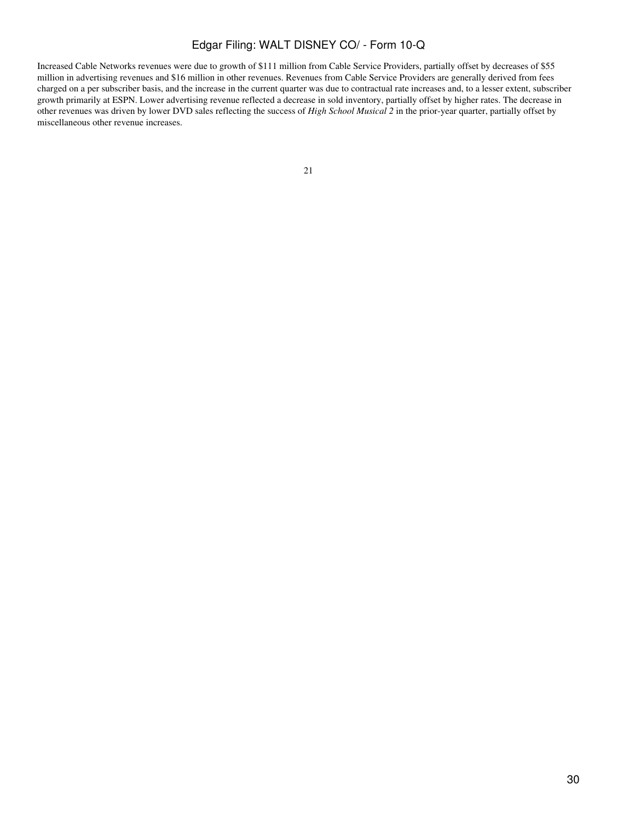Increased Cable Networks revenues were due to growth of \$111 million from Cable Service Providers, partially offset by decreases of \$55 million in advertising revenues and \$16 million in other revenues. Revenues from Cable Service Providers are generally derived from fees charged on a per subscriber basis, and the increase in the current quarter was due to contractual rate increases and, to a lesser extent, subscriber growth primarily at ESPN. Lower advertising revenue reflected a decrease in sold inventory, partially offset by higher rates. The decrease in other revenues was driven by lower DVD sales reflecting the success of *High School Musical 2* in the prior-year quarter, partially offset by miscellaneous other revenue increases.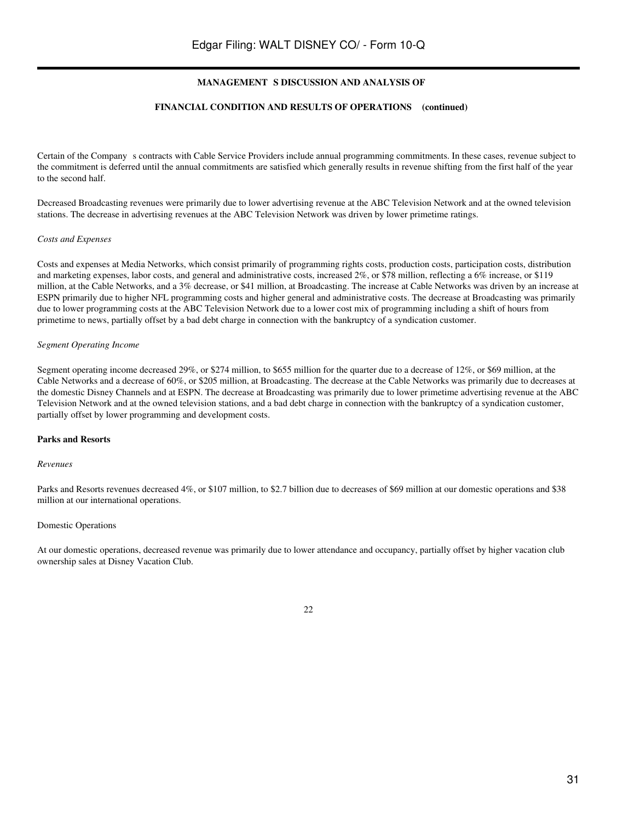#### **FINANCIAL CONDITION AND RESULTS OF OPERATIONS (continued)**

Certain of the Company s contracts with Cable Service Providers include annual programming commitments. In these cases, revenue subject to the commitment is deferred until the annual commitments are satisfied which generally results in revenue shifting from the first half of the year to the second half.

Decreased Broadcasting revenues were primarily due to lower advertising revenue at the ABC Television Network and at the owned television stations. The decrease in advertising revenues at the ABC Television Network was driven by lower primetime ratings.

#### *Costs and Expenses*

Costs and expenses at Media Networks, which consist primarily of programming rights costs, production costs, participation costs, distribution and marketing expenses, labor costs, and general and administrative costs, increased 2%, or \$78 million, reflecting a 6% increase, or \$119 million, at the Cable Networks, and a 3% decrease, or \$41 million, at Broadcasting. The increase at Cable Networks was driven by an increase at ESPN primarily due to higher NFL programming costs and higher general and administrative costs. The decrease at Broadcasting was primarily due to lower programming costs at the ABC Television Network due to a lower cost mix of programming including a shift of hours from primetime to news, partially offset by a bad debt charge in connection with the bankruptcy of a syndication customer.

#### *Segment Operating Income*

Segment operating income decreased 29%, or \$274 million, to \$655 million for the quarter due to a decrease of 12%, or \$69 million, at the Cable Networks and a decrease of 60%, or \$205 million, at Broadcasting. The decrease at the Cable Networks was primarily due to decreases at the domestic Disney Channels and at ESPN. The decrease at Broadcasting was primarily due to lower primetime advertising revenue at the ABC Television Network and at the owned television stations, and a bad debt charge in connection with the bankruptcy of a syndication customer, partially offset by lower programming and development costs.

#### **Parks and Resorts**

#### *Revenues*

Parks and Resorts revenues decreased 4%, or \$107 million, to \$2.7 billion due to decreases of \$69 million at our domestic operations and \$38 million at our international operations.

#### Domestic Operations

At our domestic operations, decreased revenue was primarily due to lower attendance and occupancy, partially offset by higher vacation club ownership sales at Disney Vacation Club.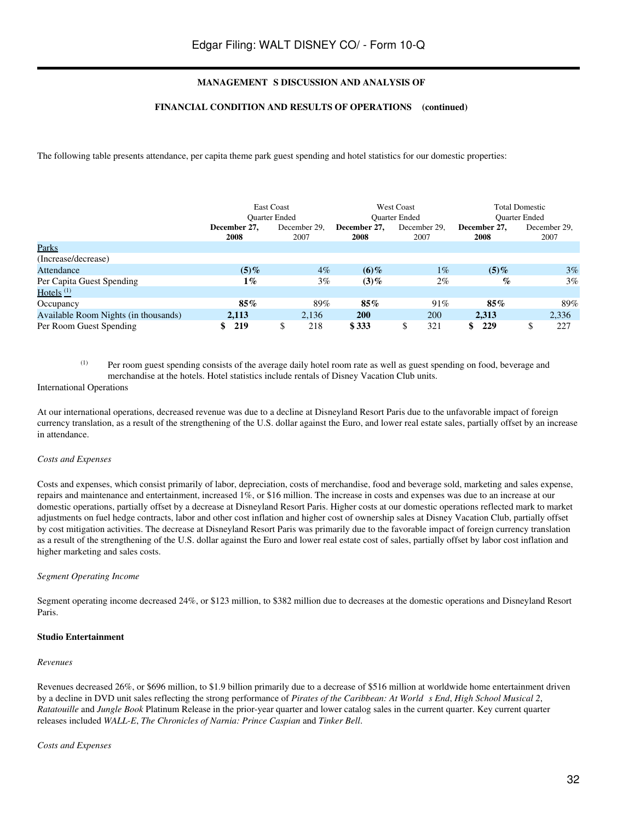#### **FINANCIAL CONDITION AND RESULTS OF OPERATIONS (continued)**

The following table presents attendance, per capita theme park guest spending and hotel statistics for our domestic properties:

|                                      |                      | <b>East Coast</b><br><b>Ouarter Ended</b> |                      | <b>West Coast</b><br><b>Ouarter Ended</b> |                      | <b>Total Domestic</b><br><b>Ouarter Ended</b> |
|--------------------------------------|----------------------|-------------------------------------------|----------------------|-------------------------------------------|----------------------|-----------------------------------------------|
|                                      | December 27.<br>2008 | December 29.<br>2007                      | December 27,<br>2008 | December 29,<br>2007                      | December 27.<br>2008 | December 29,<br>2007                          |
| Parks                                |                      |                                           |                      |                                           |                      |                                               |
| (Increase/decrease)                  |                      |                                           |                      |                                           |                      |                                               |
| Attendance                           | (5)%                 | $4\%$                                     | $(6)\%$              | $1\%$                                     | $(5)\%$              | 3%                                            |
| Per Capita Guest Spending            | $1\%$                | $3\%$                                     | $(3)\%$              | $2\%$                                     | $\%$                 | 3%                                            |
| Hotels $(1)$                         |                      |                                           |                      |                                           |                      |                                               |
| Occupancy                            | $85\%$               | 89%                                       | 85%                  | 91%                                       | $85\%$               | 89%                                           |
| Available Room Nights (in thousands) | 2,113                | 2,136                                     | <b>200</b>           | 200                                       | 2.313                | 2,336                                         |
| Per Room Guest Spending              | 219                  | 218<br>\$                                 | \$333                | 321<br>S                                  | S.<br>229            | ¢<br>227<br>D                                 |

(1) Per room guest spending consists of the average daily hotel room rate as well as guest spending on food, beverage and merchandise at the hotels. Hotel statistics include rentals of Disney Vacation Club units.

#### International Operations

At our international operations, decreased revenue was due to a decline at Disneyland Resort Paris due to the unfavorable impact of foreign currency translation, as a result of the strengthening of the U.S. dollar against the Euro, and lower real estate sales, partially offset by an increase in attendance.

#### *Costs and Expenses*

Costs and expenses, which consist primarily of labor, depreciation, costs of merchandise, food and beverage sold, marketing and sales expense, repairs and maintenance and entertainment, increased 1%, or \$16 million. The increase in costs and expenses was due to an increase at our domestic operations, partially offset by a decrease at Disneyland Resort Paris. Higher costs at our domestic operations reflected mark to market adjustments on fuel hedge contracts, labor and other cost inflation and higher cost of ownership sales at Disney Vacation Club, partially offset by cost mitigation activities. The decrease at Disneyland Resort Paris was primarily due to the favorable impact of foreign currency translation as a result of the strengthening of the U.S. dollar against the Euro and lower real estate cost of sales, partially offset by labor cost inflation and higher marketing and sales costs.

#### *Segment Operating Income*

Segment operating income decreased 24%, or \$123 million, to \$382 million due to decreases at the domestic operations and Disneyland Resort Paris.

#### **Studio Entertainment**

#### *Revenues*

Revenues decreased 26%, or \$696 million, to \$1.9 billion primarily due to a decrease of \$516 million at worldwide home entertainment driven by a decline in DVD unit sales reflecting the strong performance of *Pirates of the Caribbean: At Worlds End*, *High School Musical 2*, *Ratatouille* and *Jungle Book* Platinum Release in the prior-year quarter and lower catalog sales in the current quarter. Key current quarter releases included *WALL-E*, *The Chronicles of Narnia: Prince Caspian* and *Tinker Bell*.

#### *Costs and Expenses*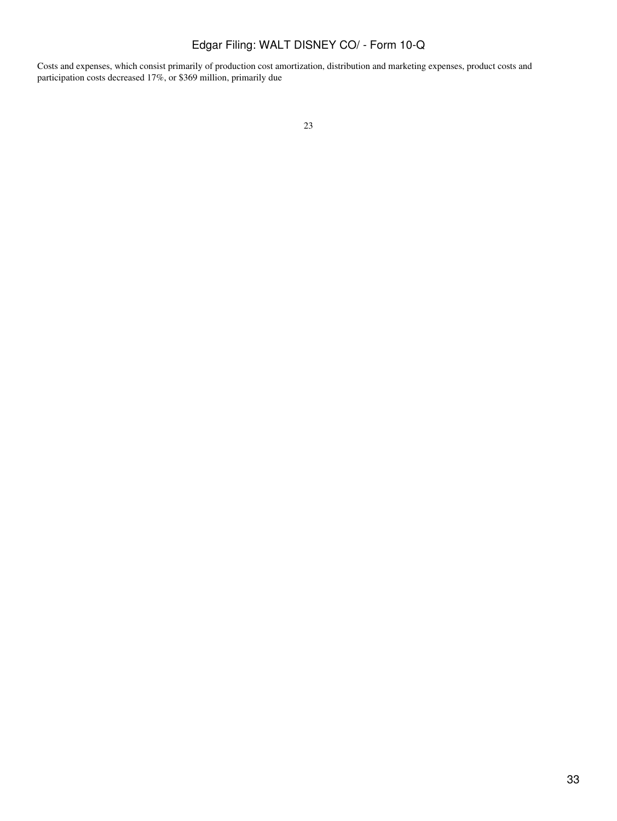Costs and expenses, which consist primarily of production cost amortization, distribution and marketing expenses, product costs and participation costs decreased 17%, or \$369 million, primarily due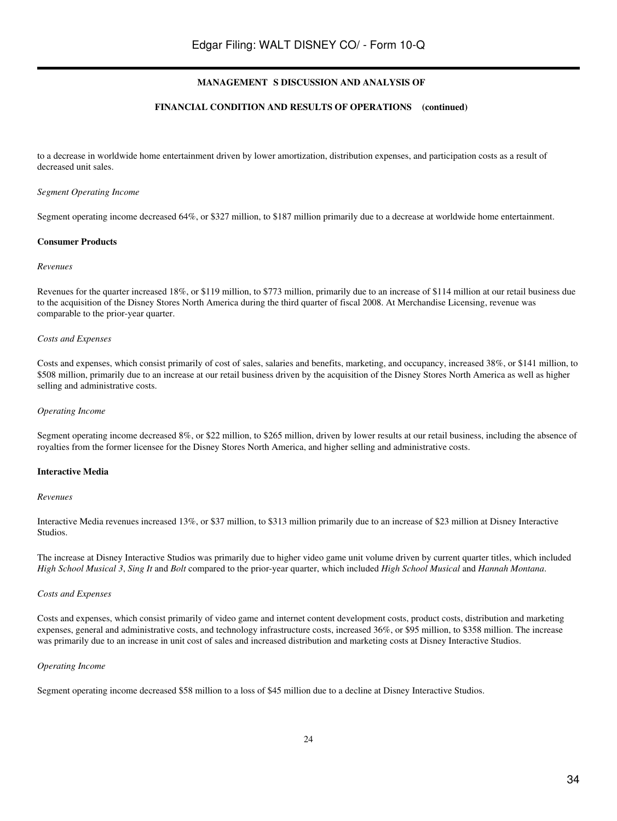#### **FINANCIAL CONDITION AND RESULTS OF OPERATIONS (continued)**

to a decrease in worldwide home entertainment driven by lower amortization, distribution expenses, and participation costs as a result of decreased unit sales.

#### *Segment Operating Income*

Segment operating income decreased 64%, or \$327 million, to \$187 million primarily due to a decrease at worldwide home entertainment.

#### **Consumer Products**

#### *Revenues*

Revenues for the quarter increased 18%, or \$119 million, to \$773 million, primarily due to an increase of \$114 million at our retail business due to the acquisition of the Disney Stores North America during the third quarter of fiscal 2008. At Merchandise Licensing, revenue was comparable to the prior-year quarter.

#### *Costs and Expenses*

Costs and expenses, which consist primarily of cost of sales, salaries and benefits, marketing, and occupancy, increased 38%, or \$141 million, to \$508 million, primarily due to an increase at our retail business driven by the acquisition of the Disney Stores North America as well as higher selling and administrative costs.

#### *Operating Income*

Segment operating income decreased 8%, or \$22 million, to \$265 million, driven by lower results at our retail business, including the absence of royalties from the former licensee for the Disney Stores North America, and higher selling and administrative costs.

#### **Interactive Media**

#### *Revenues*

Interactive Media revenues increased 13%, or \$37 million, to \$313 million primarily due to an increase of \$23 million at Disney Interactive Studios.

The increase at Disney Interactive Studios was primarily due to higher video game unit volume driven by current quarter titles, which included *High School Musical 3*, *Sing It* and *Bolt* compared to the prior-year quarter, which included *High School Musical* and *Hannah Montana*.

#### *Costs and Expenses*

Costs and expenses, which consist primarily of video game and internet content development costs, product costs, distribution and marketing expenses, general and administrative costs, and technology infrastructure costs, increased 36%, or \$95 million, to \$358 million. The increase was primarily due to an increase in unit cost of sales and increased distribution and marketing costs at Disney Interactive Studios.

#### *Operating Income*

Segment operating income decreased \$58 million to a loss of \$45 million due to a decline at Disney Interactive Studios.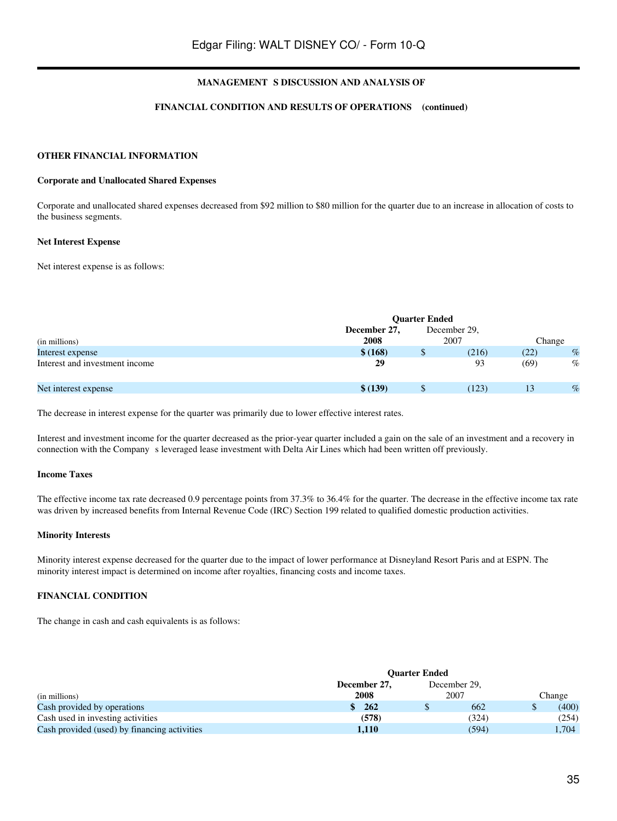#### **FINANCIAL CONDITION AND RESULTS OF OPERATIONS (continued)**

## **OTHER FINANCIAL INFORMATION**

#### **Corporate and Unallocated Shared Expenses**

Corporate and unallocated shared expenses decreased from \$92 million to \$80 million for the quarter due to an increase in allocation of costs to the business segments.

#### **Net Interest Expense**

Net interest expense is as follows:

|                                |                      | <b>Ouarter Ended</b> |                      |        |      |
|--------------------------------|----------------------|----------------------|----------------------|--------|------|
| (in millions)                  | December 27,<br>2008 |                      | December 29.<br>2007 | Change |      |
| Interest expense               | \$ (168)             | Ф                    | (216)                | (22)   | $\%$ |
| Interest and investment income | 29                   |                      | 93                   | (69)   | $\%$ |
| Net interest expense           | \$ (139)             |                      | (123)                | 13     | $\%$ |

The decrease in interest expense for the quarter was primarily due to lower effective interest rates.

Interest and investment income for the quarter decreased as the prior-year quarter included a gain on the sale of an investment and a recovery in connection with the Companys leveraged lease investment with Delta Air Lines which had been written off previously.

#### **Income Taxes**

The effective income tax rate decreased 0.9 percentage points from 37.3% to 36.4% for the quarter. The decrease in the effective income tax rate was driven by increased benefits from Internal Revenue Code (IRC) Section 199 related to qualified domestic production activities.

#### **Minority Interests**

Minority interest expense decreased for the quarter due to the impact of lower performance at Disneyland Resort Paris and at ESPN. The minority interest impact is determined on income after royalties, financing costs and income taxes.

#### **FINANCIAL CONDITION**

The change in cash and cash equivalents is as follows:

|                                              | <b>Ouarter Ended</b> |  |              |  |        |
|----------------------------------------------|----------------------|--|--------------|--|--------|
|                                              | December 27,         |  | December 29. |  |        |
| (in millions)                                | 2008                 |  | 2007         |  | Change |
| Cash provided by operations                  | 262                  |  | 662          |  | (400)  |
| Cash used in investing activities            | (578)                |  | (324)        |  | (254)  |
| Cash provided (used) by financing activities | 1,110                |  | (594)        |  | 1,704  |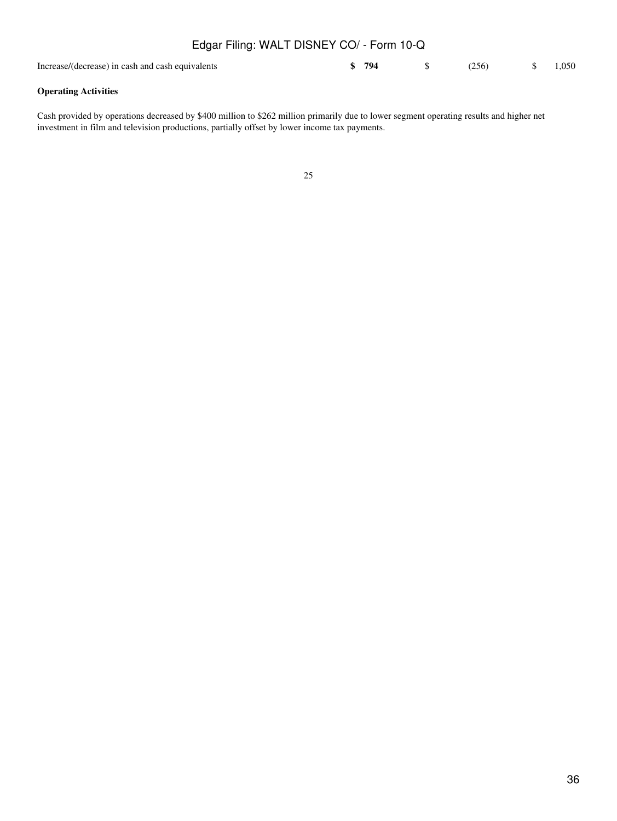| Edgar Filing: WALT DISNEY CO/ - Form 10-Q        |       |       |       |
|--------------------------------------------------|-------|-------|-------|
| Increase/(decrease) in cash and cash equivalents | \$794 | (256) | 1.050 |

## **Operating Activities**

Cash provided by operations decreased by \$400 million to \$262 million primarily due to lower segment operating results and higher net investment in film and television productions, partially offset by lower income tax payments.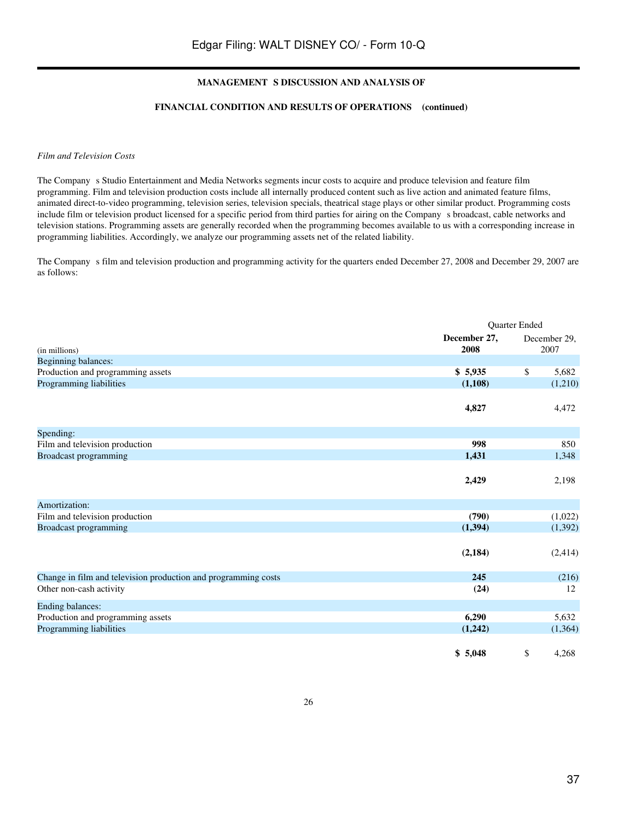#### **FINANCIAL CONDITION AND RESULTS OF OPERATIONS (continued)**

#### *Film and Television Costs*

The Company s Studio Entertainment and Media Networks segments incur costs to acquire and produce television and feature film programming. Film and television production costs include all internally produced content such as live action and animated feature films, animated direct-to-video programming, television series, television specials, theatrical stage plays or other similar product. Programming costs include film or television product licensed for a specific period from third parties for airing on the Companys broadcast, cable networks and television stations. Programming assets are generally recorded when the programming becomes available to us with a corresponding increase in programming liabilities. Accordingly, we analyze our programming assets net of the related liability.

The Company s film and television production and programming activity for the quarters ended December 27, 2008 and December 29, 2007 are as follows:

|                                                                |                      | Quarter Ended |                      |
|----------------------------------------------------------------|----------------------|---------------|----------------------|
| (in millions)                                                  | December 27,<br>2008 |               | December 29,<br>2007 |
| Beginning balances:                                            |                      |               |                      |
| Production and programming assets                              | \$5,935              | \$            | 5,682                |
| Programming liabilities                                        | (1,108)              |               | (1,210)              |
|                                                                | 4,827                |               | 4,472                |
| Spending:                                                      |                      |               |                      |
| Film and television production                                 | 998                  |               | 850                  |
| Broadcast programming                                          | 1,431                |               | 1,348                |
|                                                                | 2,429                |               | 2,198                |
| Amortization:                                                  |                      |               |                      |
| Film and television production                                 | (790)                |               | (1,022)              |
| Broadcast programming                                          | (1, 394)             |               | (1,392)              |
|                                                                | (2, 184)             |               | (2, 414)             |
| Change in film and television production and programming costs | 245                  |               | (216)                |
| Other non-cash activity                                        | (24)                 |               | 12                   |
| <b>Ending balances:</b>                                        |                      |               |                      |
| Production and programming assets                              | 6,290                |               | 5,632                |
| Programming liabilities                                        | (1,242)              |               | (1,364)              |
|                                                                | \$5,048              | \$            | 4,268                |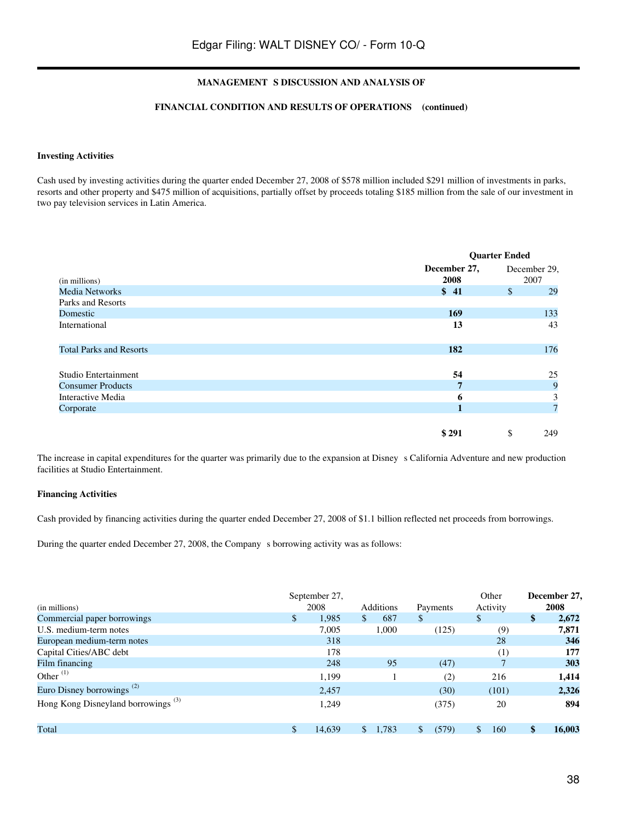## **FINANCIAL CONDITION AND RESULTS OF OPERATIONS (continued)**

#### **Investing Activities**

Cash used by investing activities during the quarter ended December 27, 2008 of \$578 million included \$291 million of investments in parks, resorts and other property and \$475 million of acquisitions, partially offset by proceeds totaling \$185 million from the sale of our investment in two pay television services in Latin America.

|                                |                      | <b>Quarter Ended</b> |                      |  |
|--------------------------------|----------------------|----------------------|----------------------|--|
| (in millions)                  | December 27,<br>2008 |                      | December 29,<br>2007 |  |
| <b>Media Networks</b>          | \$41                 | $\mathbb{S}$         | 29                   |  |
| Parks and Resorts              |                      |                      |                      |  |
| Domestic                       | 169                  |                      | 133                  |  |
| International                  | 13                   |                      | 43                   |  |
| <b>Total Parks and Resorts</b> | 182                  |                      | 176                  |  |
| Studio Entertainment           | 54                   |                      | 25                   |  |
| <b>Consumer Products</b>       | $\overline{7}$       |                      | 9                    |  |
| Interactive Media              | 6                    |                      | 3                    |  |
| Corporate                      |                      |                      | $7\phantom{.0}$      |  |
|                                | \$291                | \$                   | 249                  |  |

The increase in capital expenditures for the quarter was primarily due to the expansion at Disney s California Adventure and new production facilities at Studio Entertainment.

#### **Financing Activities**

Cash provided by financing activities during the quarter ended December 27, 2008 of \$1.1 billion reflected net proceeds from borrowings.

During the quarter ended December 27, 2008, the Company s borrowing activity was as follows:

| (in millions)                                  | September 27,<br>2008 |              | <b>Additions</b> |              | Payments | Other<br>Activity |              | December 27,<br>2008 |
|------------------------------------------------|-----------------------|--------------|------------------|--------------|----------|-------------------|--------------|----------------------|
| Commercial paper borrowings                    | \$<br>1,985           | $\mathbb{S}$ | 687              | $\mathbb{S}$ |          | \$                | \$           | 2,672                |
| U.S. medium-term notes                         | 7.005                 |              | 1,000            |              | (125)    | (9)               |              | 7,871                |
| European medium-term notes                     | 318                   |              |                  |              |          | 28                |              | 346                  |
| Capital Cities/ABC debt                        | 178                   |              |                  |              |          | (1)               |              | 177                  |
| Film financing                                 | 248                   |              | 95               |              | (47)     |                   |              | 303                  |
| Other $^{(1)}$                                 | 1,199                 |              |                  |              | (2)      | 216               |              | 1,414                |
| Euro Disney borrowings <sup>(2)</sup>          | 2,457                 |              |                  |              | (30)     | (101)             |              | 2,326                |
| Hong Kong Disneyland borrowings <sup>(3)</sup> | 1.249                 |              |                  |              | (375)    | 20                |              | 894                  |
| Total                                          | 14.639                | \$.          | 1,783            | \$.          | (579)    | \$<br>160         | $\mathbf{s}$ | 16,003               |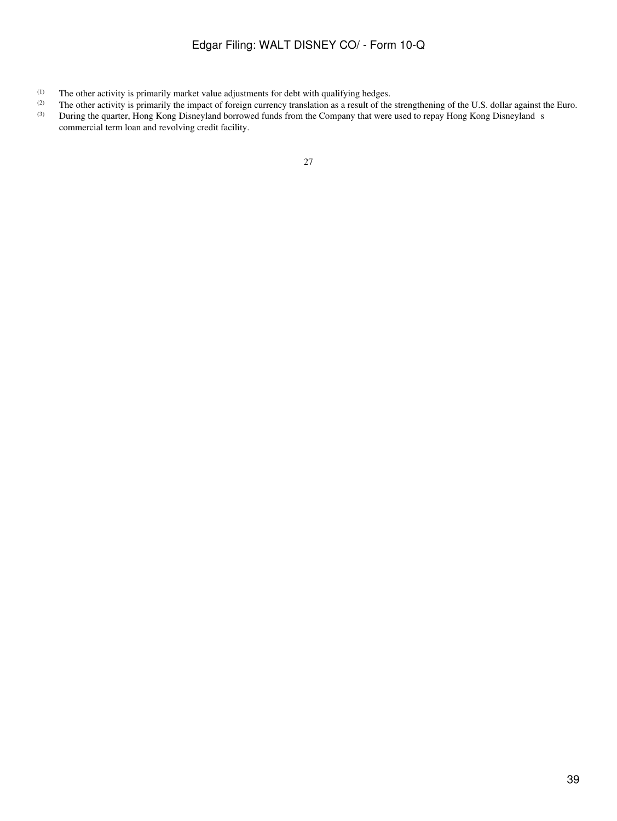- (1) The other activity is primarily market value adjustments for debt with qualifying hedges.<br>
(2) The other activity is primarily the impact of foreign currency translation as a result of the
- (2) The other activity is primarily the impact of foreign currency translation as a result of the strengthening of the U.S. dollar against the Euro.<br>
During the quarter. Hong Kong Disnevland borrowed funds from the Compan During the quarter, Hong Kong Disneyland borrowed funds from the Company that were used to repay Hong Kong Disneyland s
- commercial term loan and revolving credit facility.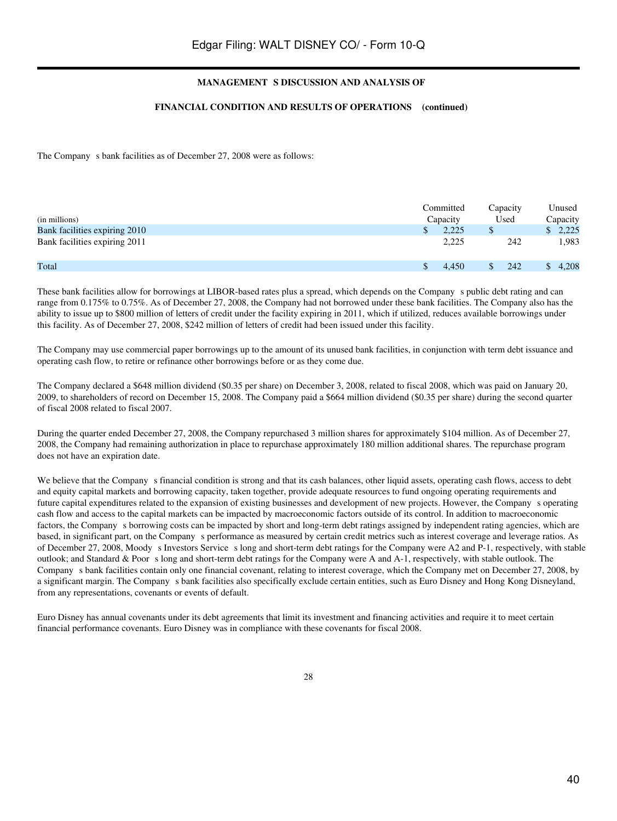#### **FINANCIAL CONDITION AND RESULTS OF OPERATIONS (continued)**

The Company s bank facilities as of December 27, 2008 were as follows:

| (in millions)                 | Committed<br>Capacity | Capacity<br>Used |     | Unused<br>Capacity |
|-------------------------------|-----------------------|------------------|-----|--------------------|
| Bank facilities expiring 2010 | 2.225                 | ъ                |     | \$2,225            |
| Bank facilities expiring 2011 | 2,225                 |                  | 242 | 1,983              |
| Total                         | 4.450                 |                  | 242 | 4.208              |

These bank facilities allow for borrowings at LIBOR-based rates plus a spread, which depends on the Company s public debt rating and can range from 0.175% to 0.75%. As of December 27, 2008, the Company had not borrowed under these bank facilities. The Company also has the ability to issue up to \$800 million of letters of credit under the facility expiring in 2011, which if utilized, reduces available borrowings under this facility. As of December 27, 2008, \$242 million of letters of credit had been issued under this facility.

The Company may use commercial paper borrowings up to the amount of its unused bank facilities, in conjunction with term debt issuance and operating cash flow, to retire or refinance other borrowings before or as they come due.

The Company declared a \$648 million dividend (\$0.35 per share) on December 3, 2008, related to fiscal 2008, which was paid on January 20, 2009, to shareholders of record on December 15, 2008. The Company paid a \$664 million dividend (\$0.35 per share) during the second quarter of fiscal 2008 related to fiscal 2007.

During the quarter ended December 27, 2008, the Company repurchased 3 million shares for approximately \$104 million. As of December 27, 2008, the Company had remaining authorization in place to repurchase approximately 180 million additional shares. The repurchase program does not have an expiration date.

We believe that the Company s financial condition is strong and that its cash balances, other liquid assets, operating cash flows, access to debt and equity capital markets and borrowing capacity, taken together, provide adequate resources to fund ongoing operating requirements and future capital expenditures related to the expansion of existing businesses and development of new projects. However, the Companys operating cash flow and access to the capital markets can be impacted by macroeconomic factors outside of its control. In addition to macroeconomic factors, the Company s borrowing costs can be impacted by short and long-term debt ratings assigned by independent rating agencies, which are based, in significant part, on the Company s performance as measured by certain credit metrics such as interest coverage and leverage ratios. As of December 27, 2008, Moody s Investors Service s long and short-term debt ratings for the Company were A2 and P-1, respectively, with stable outlook; and Standard & Poors long and short-term debt ratings for the Company were A and A-1, respectively, with stable outlook. The Companys bank facilities contain only one financial covenant, relating to interest coverage, which the Company met on December 27, 2008, by a significant margin. The Company s bank facilities also specifically exclude certain entities, such as Euro Disney and Hong Kong Disneyland, from any representations, covenants or events of default.

Euro Disney has annual covenants under its debt agreements that limit its investment and financing activities and require it to meet certain financial performance covenants. Euro Disney was in compliance with these covenants for fiscal 2008.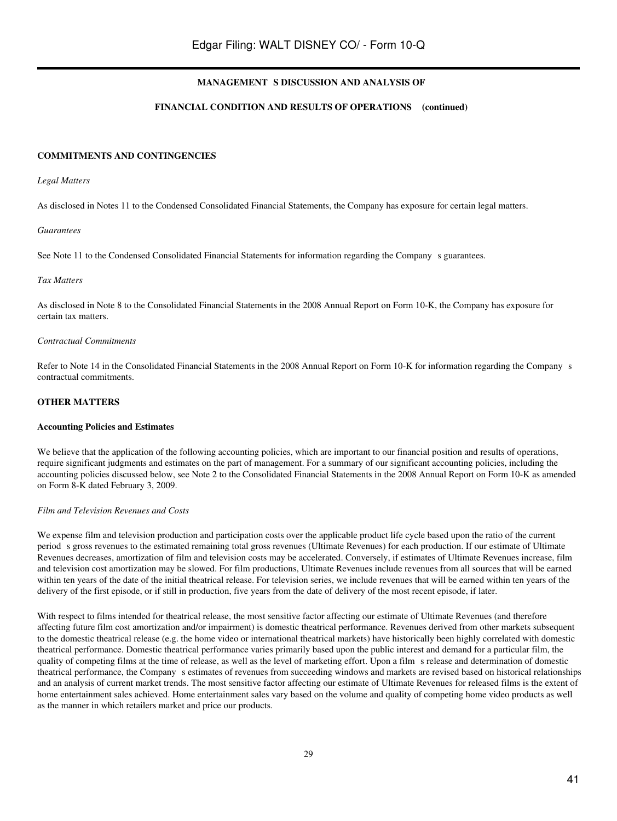## **FINANCIAL CONDITION AND RESULTS OF OPERATIONS (continued)**

#### **COMMITMENTS AND CONTINGENCIES**

#### *Legal Matters*

As disclosed in Notes 11 to the Condensed Consolidated Financial Statements, the Company has exposure for certain legal matters.

#### *Guarantees*

See Note 11 to the Condensed Consolidated Financial Statements for information regarding the Company s guarantees.

#### *Tax Matters*

As disclosed in Note 8 to the Consolidated Financial Statements in the 2008 Annual Report on Form 10-K, the Company has exposure for certain tax matters.

#### *Contractual Commitments*

Refer to Note 14 in the Consolidated Financial Statements in the 2008 Annual Report on Form 10-K for information regarding the Companys contractual commitments.

#### **OTHER MATTERS**

#### **Accounting Policies and Estimates**

We believe that the application of the following accounting policies, which are important to our financial position and results of operations, require significant judgments and estimates on the part of management. For a summary of our significant accounting policies, including the accounting policies discussed below, see Note 2 to the Consolidated Financial Statements in the 2008 Annual Report on Form 10-K as amended on Form 8-K dated February 3, 2009.

#### *Film and Television Revenues and Costs*

We expense film and television production and participation costs over the applicable product life cycle based upon the ratio of the current periods gross revenues to the estimated remaining total gross revenues (Ultimate Revenues) for each production. If our estimate of Ultimate Revenues decreases, amortization of film and television costs may be accelerated. Conversely, if estimates of Ultimate Revenues increase, film and television cost amortization may be slowed. For film productions, Ultimate Revenues include revenues from all sources that will be earned within ten years of the date of the initial theatrical release. For television series, we include revenues that will be earned within ten years of the delivery of the first episode, or if still in production, five years from the date of delivery of the most recent episode, if later.

With respect to films intended for theatrical release, the most sensitive factor affecting our estimate of Ultimate Revenues (and therefore affecting future film cost amortization and/or impairment) is domestic theatrical performance. Revenues derived from other markets subsequent to the domestic theatrical release (e.g. the home video or international theatrical markets) have historically been highly correlated with domestic theatrical performance. Domestic theatrical performance varies primarily based upon the public interest and demand for a particular film, the quality of competing films at the time of release, as well as the level of marketing effort. Upon a films release and determination of domestic theatrical performance, the Company s estimates of revenues from succeeding windows and markets are revised based on historical relationships and an analysis of current market trends. The most sensitive factor affecting our estimate of Ultimate Revenues for released films is the extent of home entertainment sales achieved. Home entertainment sales vary based on the volume and quality of competing home video products as well as the manner in which retailers market and price our products.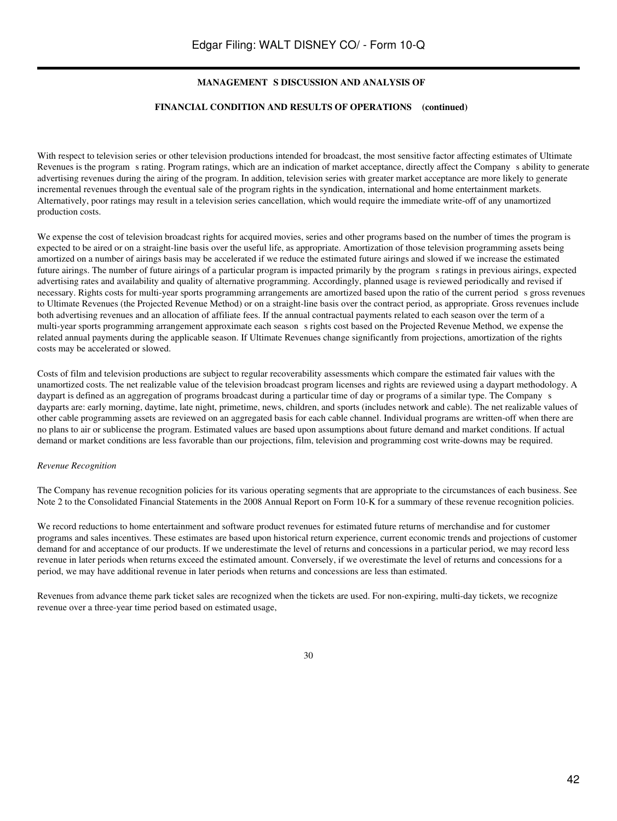#### **FINANCIAL CONDITION AND RESULTS OF OPERATIONS (continued)**

With respect to television series or other television productions intended for broadcast, the most sensitive factor affecting estimates of Ultimate Revenues is the program s rating. Program ratings, which are an indication of market acceptance, directly affect the Company s ability to generate advertising revenues during the airing of the program. In addition, television series with greater market acceptance are more likely to generate incremental revenues through the eventual sale of the program rights in the syndication, international and home entertainment markets. Alternatively, poor ratings may result in a television series cancellation, which would require the immediate write-off of any unamortized production costs.

We expense the cost of television broadcast rights for acquired movies, series and other programs based on the number of times the program is expected to be aired or on a straight-line basis over the useful life, as appropriate. Amortization of those television programming assets being amortized on a number of airings basis may be accelerated if we reduce the estimated future airings and slowed if we increase the estimated future airings. The number of future airings of a particular program is impacted primarily by the programs ratings in previous airings, expected advertising rates and availability and quality of alternative programming. Accordingly, planned usage is reviewed periodically and revised if necessary. Rights costs for multi-year sports programming arrangements are amortized based upon the ratio of the current periods gross revenues to Ultimate Revenues (the Projected Revenue Method) or on a straight-line basis over the contract period, as appropriate. Gross revenues include both advertising revenues and an allocation of affiliate fees. If the annual contractual payments related to each season over the term of a multi-year sports programming arrangement approximate each seasons rights cost based on the Projected Revenue Method, we expense the related annual payments during the applicable season. If Ultimate Revenues change significantly from projections, amortization of the rights costs may be accelerated or slowed.

Costs of film and television productions are subject to regular recoverability assessments which compare the estimated fair values with the unamortized costs. The net realizable value of the television broadcast program licenses and rights are reviewed using a daypart methodology. A daypart is defined as an aggregation of programs broadcast during a particular time of day or programs of a similar type. The Company s dayparts are: early morning, daytime, late night, primetime, news, children, and sports (includes network and cable). The net realizable values of other cable programming assets are reviewed on an aggregated basis for each cable channel. Individual programs are written-off when there are no plans to air or sublicense the program. Estimated values are based upon assumptions about future demand and market conditions. If actual demand or market conditions are less favorable than our projections, film, television and programming cost write-downs may be required.

#### *Revenue Recognition*

The Company has revenue recognition policies for its various operating segments that are appropriate to the circumstances of each business. See Note 2 to the Consolidated Financial Statements in the 2008 Annual Report on Form 10-K for a summary of these revenue recognition policies.

We record reductions to home entertainment and software product revenues for estimated future returns of merchandise and for customer programs and sales incentives. These estimates are based upon historical return experience, current economic trends and projections of customer demand for and acceptance of our products. If we underestimate the level of returns and concessions in a particular period, we may record less revenue in later periods when returns exceed the estimated amount. Conversely, if we overestimate the level of returns and concessions for a period, we may have additional revenue in later periods when returns and concessions are less than estimated.

Revenues from advance theme park ticket sales are recognized when the tickets are used. For non-expiring, multi-day tickets, we recognize revenue over a three-year time period based on estimated usage,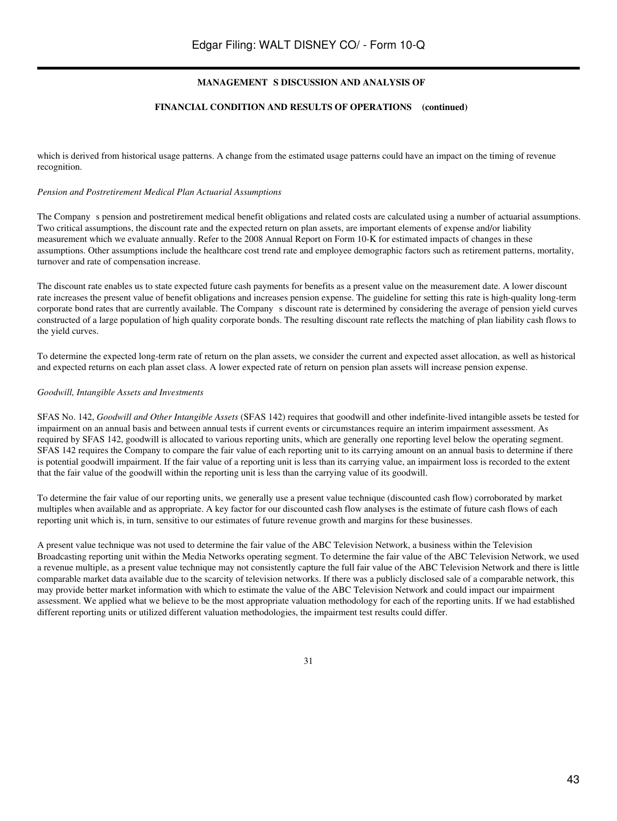## **FINANCIAL CONDITION AND RESULTS OF OPERATIONS (continued)**

which is derived from historical usage patterns. A change from the estimated usage patterns could have an impact on the timing of revenue recognition.

#### *Pension and Postretirement Medical Plan Actuarial Assumptions*

The Company s pension and postretirement medical benefit obligations and related costs are calculated using a number of actuarial assumptions. Two critical assumptions, the discount rate and the expected return on plan assets, are important elements of expense and/or liability measurement which we evaluate annually. Refer to the 2008 Annual Report on Form 10-K for estimated impacts of changes in these assumptions. Other assumptions include the healthcare cost trend rate and employee demographic factors such as retirement patterns, mortality, turnover and rate of compensation increase.

The discount rate enables us to state expected future cash payments for benefits as a present value on the measurement date. A lower discount rate increases the present value of benefit obligations and increases pension expense. The guideline for setting this rate is high-quality long-term corporate bond rates that are currently available. The Company s discount rate is determined by considering the average of pension yield curves constructed of a large population of high quality corporate bonds. The resulting discount rate reflects the matching of plan liability cash flows to the yield curves.

To determine the expected long-term rate of return on the plan assets, we consider the current and expected asset allocation, as well as historical and expected returns on each plan asset class. A lower expected rate of return on pension plan assets will increase pension expense.

#### *Goodwill, Intangible Assets and Investments*

SFAS No. 142, *Goodwill and Other Intangible Assets* (SFAS 142) requires that goodwill and other indefinite-lived intangible assets be tested for impairment on an annual basis and between annual tests if current events or circumstances require an interim impairment assessment. As required by SFAS 142, goodwill is allocated to various reporting units, which are generally one reporting level below the operating segment. SFAS 142 requires the Company to compare the fair value of each reporting unit to its carrying amount on an annual basis to determine if there is potential goodwill impairment. If the fair value of a reporting unit is less than its carrying value, an impairment loss is recorded to the extent that the fair value of the goodwill within the reporting unit is less than the carrying value of its goodwill.

To determine the fair value of our reporting units, we generally use a present value technique (discounted cash flow) corroborated by market multiples when available and as appropriate. A key factor for our discounted cash flow analyses is the estimate of future cash flows of each reporting unit which is, in turn, sensitive to our estimates of future revenue growth and margins for these businesses.

A present value technique was not used to determine the fair value of the ABC Television Network, a business within the Television Broadcasting reporting unit within the Media Networks operating segment. To determine the fair value of the ABC Television Network, we used a revenue multiple, as a present value technique may not consistently capture the full fair value of the ABC Television Network and there is little comparable market data available due to the scarcity of television networks. If there was a publicly disclosed sale of a comparable network, this may provide better market information with which to estimate the value of the ABC Television Network and could impact our impairment assessment. We applied what we believe to be the most appropriate valuation methodology for each of the reporting units. If we had established different reporting units or utilized different valuation methodologies, the impairment test results could differ.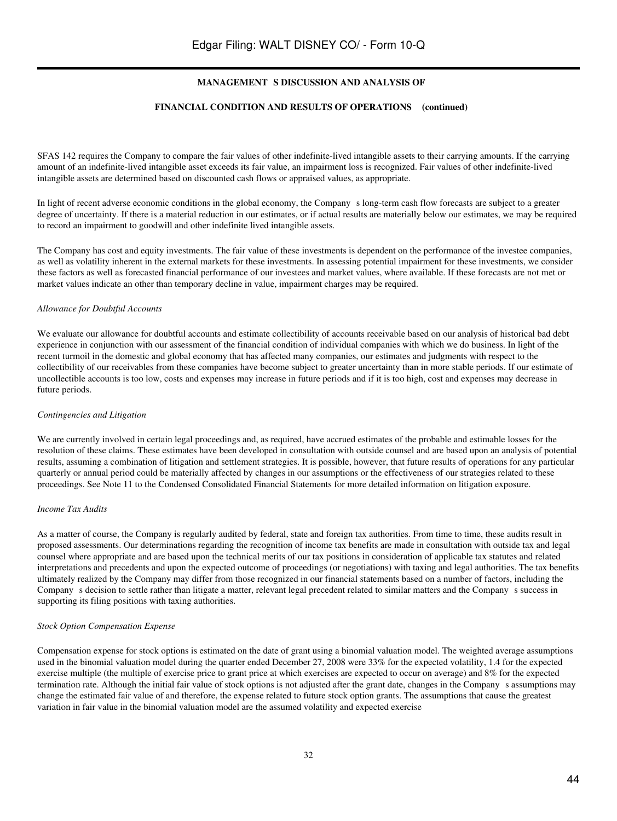#### **FINANCIAL CONDITION AND RESULTS OF OPERATIONS (continued)**

SFAS 142 requires the Company to compare the fair values of other indefinite-lived intangible assets to their carrying amounts. If the carrying amount of an indefinite-lived intangible asset exceeds its fair value, an impairment loss is recognized. Fair values of other indefinite-lived intangible assets are determined based on discounted cash flows or appraised values, as appropriate.

In light of recent adverse economic conditions in the global economy, the Companys long-term cash flow forecasts are subject to a greater degree of uncertainty. If there is a material reduction in our estimates, or if actual results are materially below our estimates, we may be required to record an impairment to goodwill and other indefinite lived intangible assets.

The Company has cost and equity investments. The fair value of these investments is dependent on the performance of the investee companies, as well as volatility inherent in the external markets for these investments. In assessing potential impairment for these investments, we consider these factors as well as forecasted financial performance of our investees and market values, where available. If these forecasts are not met or market values indicate an other than temporary decline in value, impairment charges may be required.

#### *Allowance for Doubtful Accounts*

We evaluate our allowance for doubtful accounts and estimate collectibility of accounts receivable based on our analysis of historical bad debt experience in conjunction with our assessment of the financial condition of individual companies with which we do business. In light of the recent turmoil in the domestic and global economy that has affected many companies, our estimates and judgments with respect to the collectibility of our receivables from these companies have become subject to greater uncertainty than in more stable periods. If our estimate of uncollectible accounts is too low, costs and expenses may increase in future periods and if it is too high, cost and expenses may decrease in future periods.

#### *Contingencies and Litigation*

We are currently involved in certain legal proceedings and, as required, have accrued estimates of the probable and estimable losses for the resolution of these claims. These estimates have been developed in consultation with outside counsel and are based upon an analysis of potential results, assuming a combination of litigation and settlement strategies. It is possible, however, that future results of operations for any particular quarterly or annual period could be materially affected by changes in our assumptions or the effectiveness of our strategies related to these proceedings. See Note 11 to the Condensed Consolidated Financial Statements for more detailed information on litigation exposure.

#### *Income Tax Audits*

As a matter of course, the Company is regularly audited by federal, state and foreign tax authorities. From time to time, these audits result in proposed assessments. Our determinations regarding the recognition of income tax benefits are made in consultation with outside tax and legal counsel where appropriate and are based upon the technical merits of our tax positions in consideration of applicable tax statutes and related interpretations and precedents and upon the expected outcome of proceedings (or negotiations) with taxing and legal authorities. The tax benefits ultimately realized by the Company may differ from those recognized in our financial statements based on a number of factors, including the Company s decision to settle rather than litigate a matter, relevant legal precedent related to similar matters and the Company s success in supporting its filing positions with taxing authorities.

#### *Stock Option Compensation Expense*

Compensation expense for stock options is estimated on the date of grant using a binomial valuation model. The weighted average assumptions used in the binomial valuation model during the quarter ended December 27, 2008 were 33% for the expected volatility, 1.4 for the expected exercise multiple (the multiple of exercise price to grant price at which exercises are expected to occur on average) and 8% for the expected termination rate. Although the initial fair value of stock options is not adjusted after the grant date, changes in the Company s assumptions may change the estimated fair value of and therefore, the expense related to future stock option grants. The assumptions that cause the greatest variation in fair value in the binomial valuation model are the assumed volatility and expected exercise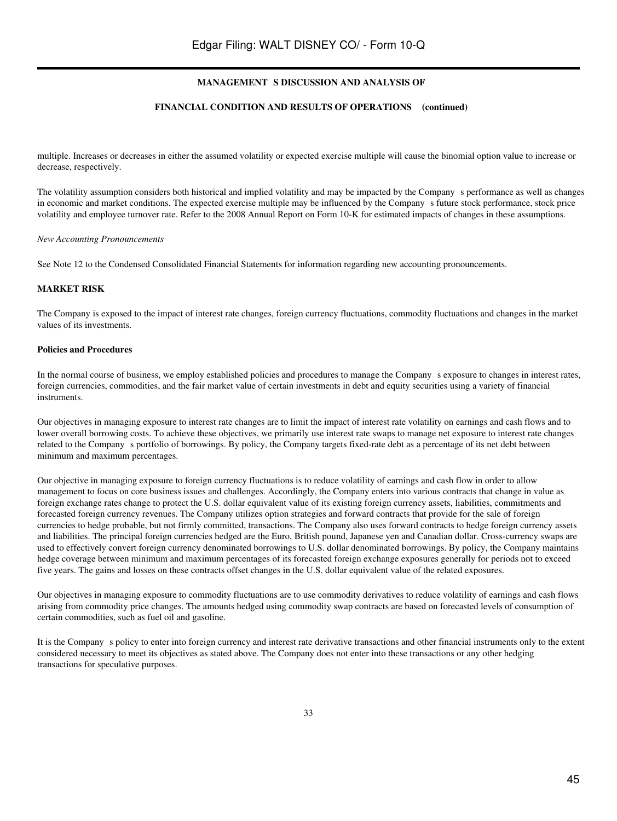#### **FINANCIAL CONDITION AND RESULTS OF OPERATIONS (continued)**

multiple. Increases or decreases in either the assumed volatility or expected exercise multiple will cause the binomial option value to increase or decrease, respectively.

The volatility assumption considers both historical and implied volatility and may be impacted by the Companys performance as well as changes in economic and market conditions. The expected exercise multiple may be influenced by the Company s future stock performance, stock price volatility and employee turnover rate. Refer to the 2008 Annual Report on Form 10-K for estimated impacts of changes in these assumptions.

#### *New Accounting Pronouncements*

See Note 12 to the Condensed Consolidated Financial Statements for information regarding new accounting pronouncements.

#### **MARKET RISK**

The Company is exposed to the impact of interest rate changes, foreign currency fluctuations, commodity fluctuations and changes in the market values of its investments.

#### **Policies and Procedures**

In the normal course of business, we employ established policies and procedures to manage the Companys exposure to changes in interest rates, foreign currencies, commodities, and the fair market value of certain investments in debt and equity securities using a variety of financial instruments.

Our objectives in managing exposure to interest rate changes are to limit the impact of interest rate volatility on earnings and cash flows and to lower overall borrowing costs. To achieve these objectives, we primarily use interest rate swaps to manage net exposure to interest rate changes related to the Company s portfolio of borrowings. By policy, the Company targets fixed-rate debt as a percentage of its net debt between minimum and maximum percentages.

Our objective in managing exposure to foreign currency fluctuations is to reduce volatility of earnings and cash flow in order to allow management to focus on core business issues and challenges. Accordingly, the Company enters into various contracts that change in value as foreign exchange rates change to protect the U.S. dollar equivalent value of its existing foreign currency assets, liabilities, commitments and forecasted foreign currency revenues. The Company utilizes option strategies and forward contracts that provide for the sale of foreign currencies to hedge probable, but not firmly committed, transactions. The Company also uses forward contracts to hedge foreign currency assets and liabilities. The principal foreign currencies hedged are the Euro, British pound, Japanese yen and Canadian dollar. Cross-currency swaps are used to effectively convert foreign currency denominated borrowings to U.S. dollar denominated borrowings. By policy, the Company maintains hedge coverage between minimum and maximum percentages of its forecasted foreign exchange exposures generally for periods not to exceed five years. The gains and losses on these contracts offset changes in the U.S. dollar equivalent value of the related exposures.

Our objectives in managing exposure to commodity fluctuations are to use commodity derivatives to reduce volatility of earnings and cash flows arising from commodity price changes. The amounts hedged using commodity swap contracts are based on forecasted levels of consumption of certain commodities, such as fuel oil and gasoline.

It is the Companys policy to enter into foreign currency and interest rate derivative transactions and other financial instruments only to the extent considered necessary to meet its objectives as stated above. The Company does not enter into these transactions or any other hedging transactions for speculative purposes.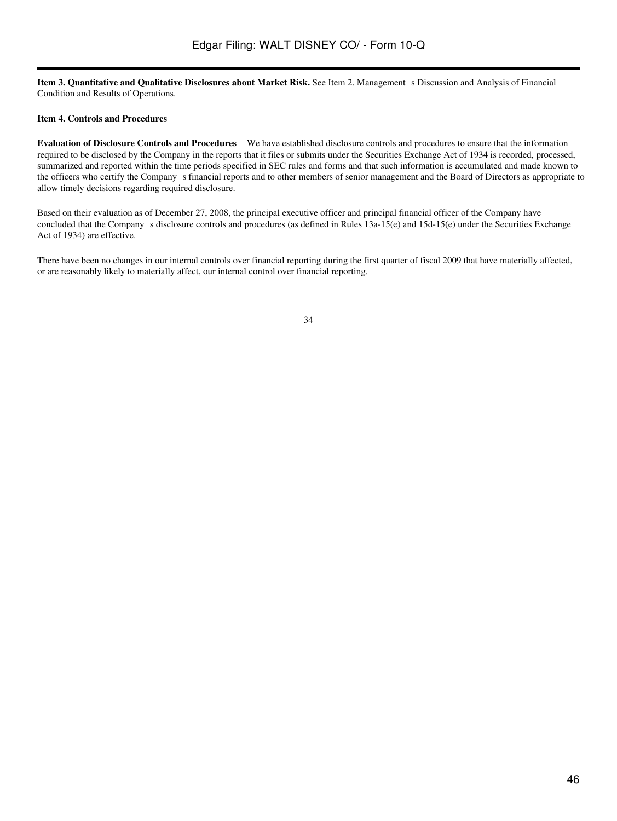Item 3. Quantitative and Qualitative Disclosures about Market Risk. See Item 2. Management s Discussion and Analysis of Financial Condition and Results of Operations.

## **Item 4. Controls and Procedures**

**Evaluation of Disclosure Controls and Procedures** We have established disclosure controls and procedures to ensure that the information required to be disclosed by the Company in the reports that it files or submits under the Securities Exchange Act of 1934 is recorded, processed, summarized and reported within the time periods specified in SEC rules and forms and that such information is accumulated and made known to the officers who certify the Company s financial reports and to other members of senior management and the Board of Directors as appropriate to allow timely decisions regarding required disclosure.

Based on their evaluation as of December 27, 2008, the principal executive officer and principal financial officer of the Company have concluded that the Company s disclosure controls and procedures (as defined in Rules  $13a-15(e)$  and  $15d-15(e)$  under the Securities Exchange Act of 1934) are effective.

There have been no changes in our internal controls over financial reporting during the first quarter of fiscal 2009 that have materially affected, or are reasonably likely to materially affect, our internal control over financial reporting.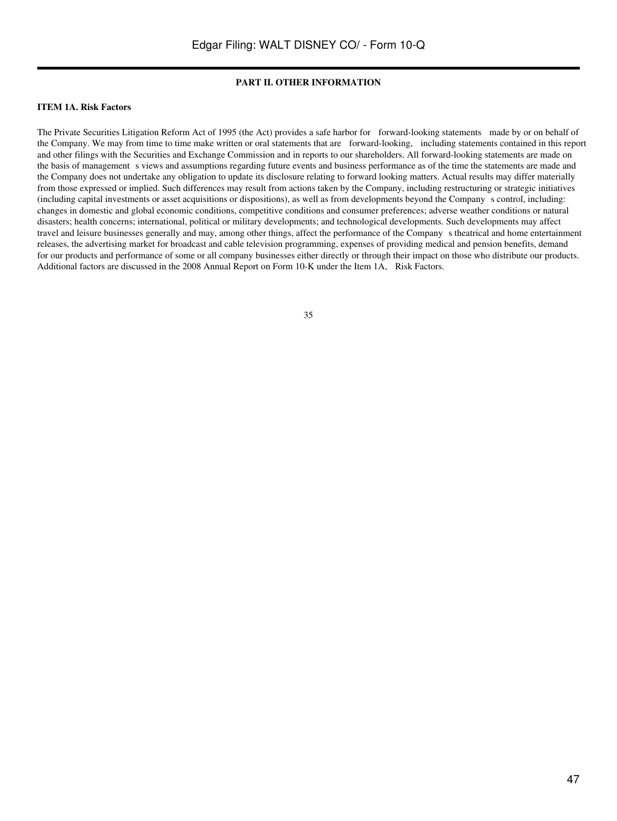## **PART II. OTHER INFORMATION**

#### **ITEM 1A. Risk Factors**

The Private Securities Litigation Reform Act of 1995 (the Act) provides a safe harbor for forward-looking statements made by or on behalf of the Company. We may from time to time make written or oral statements that are forward-looking, including statements contained in this report and other filings with the Securities and Exchange Commission and in reports to our shareholders. All forward-looking statements are made on the basis of management s views and assumptions regarding future events and business performance as of the time the statements are made and the Company does not undertake any obligation to update its disclosure relating to forward looking matters. Actual results may differ materially from those expressed or implied. Such differences may result from actions taken by the Company, including restructuring or strategic initiatives (including capital investments or asset acquisitions or dispositions), as well as from developments beyond the Companys control, including: changes in domestic and global economic conditions, competitive conditions and consumer preferences; adverse weather conditions or natural disasters; health concerns; international, political or military developments; and technological developments. Such developments may affect travel and leisure businesses generally and may, among other things, affect the performance of the Companys theatrical and home entertainment releases, the advertising market for broadcast and cable television programming, expenses of providing medical and pension benefits, demand for our products and performance of some or all company businesses either directly or through their impact on those who distribute our products. Additional factors are discussed in the 2008 Annual Report on Form 10-K under the Item 1A, Risk Factors.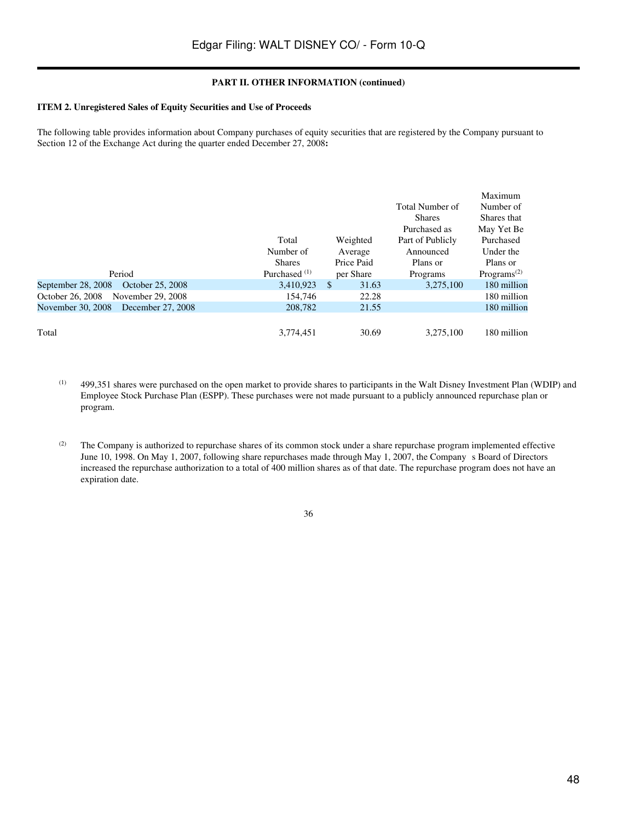## **PART II. OTHER INFORMATION (continued)**

## **ITEM 2. Unregistered Sales of Equity Securities and Use of Proceeds**

The following table provides information about Company purchases of equity securities that are registered by the Company pursuant to Section 12 of the Exchange Act during the quarter ended December 27, 2008**:**

|                                        |                          |              |                  | Maximum                              |
|----------------------------------------|--------------------------|--------------|------------------|--------------------------------------|
|                                        |                          |              | Total Number of  | Number of                            |
|                                        |                          |              | <b>Shares</b>    | Shares that                          |
|                                        |                          |              | Purchased as     | May Yet Be                           |
|                                        | Total                    | Weighted     | Part of Publicly | Purchased                            |
|                                        | Number of                | Average      | Announced        | Under the                            |
|                                        | <b>Shares</b>            | Price Paid   | Plans or         | Plans or                             |
| Period                                 | Purchased <sup>(1)</sup> | per Share    | Programs         | Programs <sup><math>(2)</math></sup> |
| September 28, 2008<br>October 25, 2008 | 3,410,923                | -\$<br>31.63 | 3,275,100        | 180 million                          |
| October 26, 2008<br>November 29, 2008  | 154,746                  | 22.28        |                  | 180 million                          |
| November 30, 2008 December 27, 2008    | 208,782                  | 21.55        |                  | 180 million                          |
|                                        |                          |              |                  |                                      |
| Total                                  | 3,774,451                | 30.69        | 3.275.100        | 180 million                          |

(1) 499,351 shares were purchased on the open market to provide shares to participants in the Walt Disney Investment Plan (WDIP) and Employee Stock Purchase Plan (ESPP). These purchases were not made pursuant to a publicly announced repurchase plan or program.

<sup>(2)</sup> The Company is authorized to repurchase shares of its common stock under a share repurchase program implemented effective June 10, 1998. On May 1, 2007, following share repurchases made through May 1, 2007, the Company s Board of Directors increased the repurchase authorization to a total of 400 million shares as of that date. The repurchase program does not have an expiration date.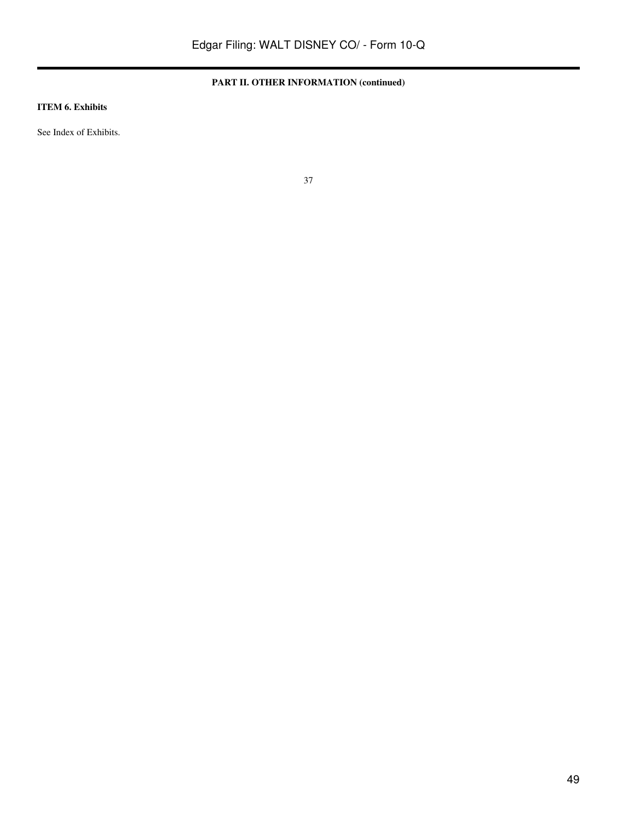## **PART II. OTHER INFORMATION (continued)**

## **ITEM 6. Exhibits**

See Index of Exhibits.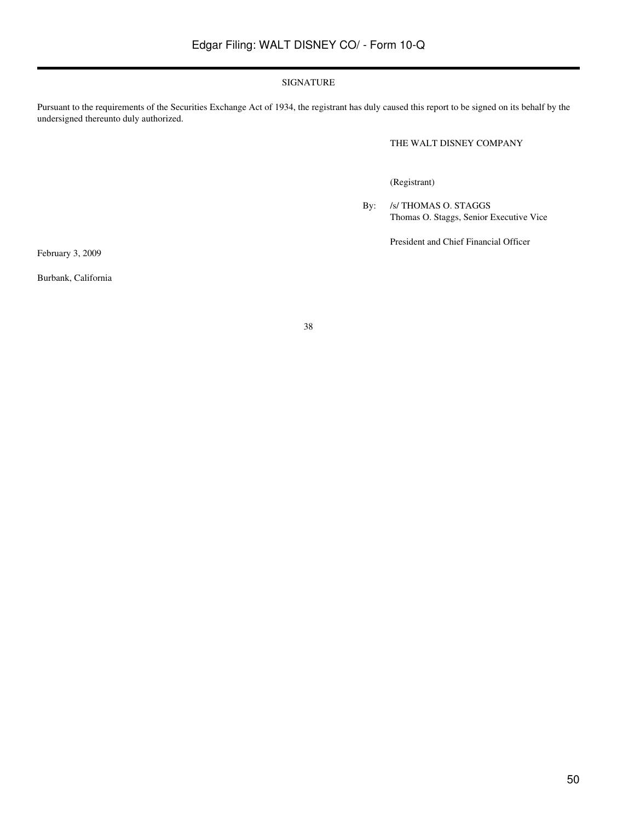## SIGNATURE

Pursuant to the requirements of the Securities Exchange Act of 1934, the registrant has duly caused this report to be signed on its behalf by the undersigned thereunto duly authorized.

THE WALT DISNEY COMPANY

(Registrant)

By: /s/ THOMAS O. STAGGS Thomas O. Staggs, Senior Executive Vice

President and Chief Financial Officer

February 3, 2009

Burbank, California